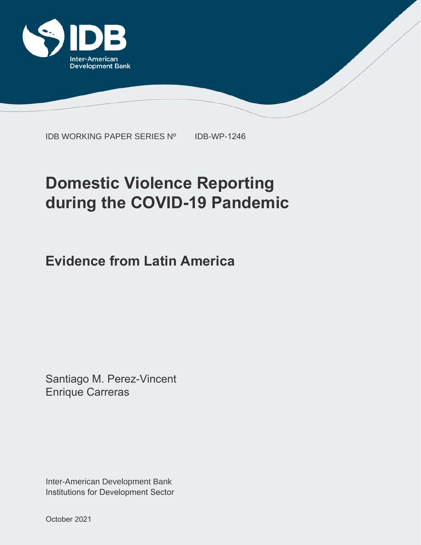

IDB WORKING PAPER SERIES Nº IDB-WP-1246

# **Domestic Violence Reporting during the COVID-19 Pandemic**

**Evidence from Latin America**

Santiago M. Perez-Vincent Enrique Carreras

Inter-American Development Bank Institutions for Development Sector

October 2021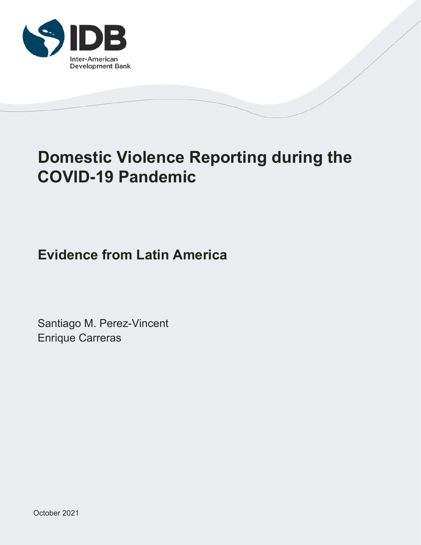

## **Domestic Violence Reporting during the COVID-19 Pandemic**

## **Evidence from Latin America**

Santiago M. Perez-Vincent Enrique Carreras

October 2021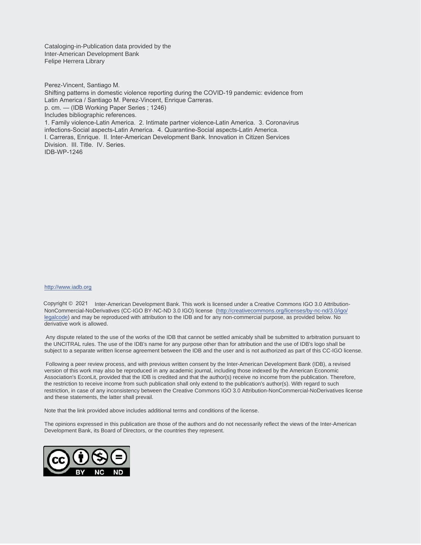Cataloging-in-Publication data provided by the Inter-American Development Bank Felipe Herrera Library

Perez-Vincent, Santiago M.

Shifting patterns in domestic violence reporting during the COVID-19 pandemic: evidence from Latin America / Santiago M. Perez-Vincent, Enrique Carreras. p. cm. — (IDB Working Paper Series ; 1246) Includes bibliographic references. 1. Family violence-Latin America. 2. Intimate partner violence-Latin America. 3. Coronavirus infections-Social aspects-Latin America. 4. Quarantine-Social aspects-Latin America. I. Carreras, Enrique. II. Inter-American Development Bank. Innovation in Citizen Services Division. III. Title. IV. Series. IDB-WP-1246

#### http://www.iadb.org

Copyright © 2021 Inter-American Development Bank. This work is licensed under a Creative Commons IGO 3.0 Attribution-NonCommercial-NoDerivatives (CC-IGO BY-NC-ND 3.0 IGO) license (http://creativecommons.org/licenses/by-nc-nd/3.0/igo/ legalcode) and may be reproduced with attribution to the IDB and for any non-commercial purpose, as provided below. No derivative work is allowed.

 Any dispute related to the use of the works of the IDB that cannot be settled amicably shall be submitted to arbitration pursuant to the UNCITRAL rules. The use of the IDB's name for any purpose other than for attribution and the use of IDB's logo shall be subject to a separate written license agreement between the IDB and the user and is not authorized as part of this CC-IGO license.

 Following a peer review process, and with previous written consent by the Inter-American Development Bank (IDB), a revised version of this work may also be reproduced in any academic journal, including those indexed by the American Economic Association's EconLit, provided that the IDB is credited and that the author(s) receive no income from the publication. Therefore, the restriction to receive income from such publication shall only extend to the publication's author(s). With regard to such restriction, in case of any inconsistency between the Creative Commons IGO 3.0 Attribution-NonCommercial-NoDerivatives license and these statements, the latter shall prevail.

Note that the link provided above includes additional terms and conditions of the license.

The opinions expressed in this publication are those of the authors and do not necessarily reflect the views of the Inter-American Development Bank, its Board of Directors, or the countries they represent.

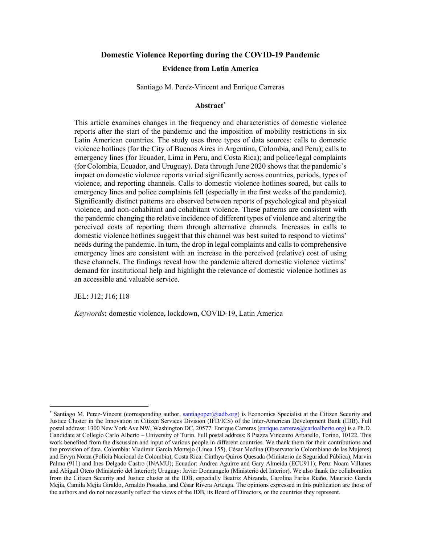#### **Domestic Violence Reporting during the COVID-19 Pandemic**

#### **Evidence from Latin America**

Santiago M. Perez-Vincent and Enrique Carreras

#### **Abstract**\*

This article examines changes in the frequency and characteristics of domestic violence reports after the start of the pandemic and the imposition of mobility restrictions in six Latin American countries. The study uses three types of data sources: calls to domestic violence hotlines (for the City of Buenos Aires in Argentina, Colombia, and Peru); calls to emergency lines (for Ecuador, Lima in Peru, and Costa Rica); and police/legal complaints (for Colombia, Ecuador, and Uruguay). Data through June 2020 shows that the pandemic's impact on domestic violence reports varied significantly across countries, periods, types of violence, and reporting channels. Calls to domestic violence hotlines soared, but calls to emergency lines and police complaints fell (especially in the first weeks of the pandemic). Significantly distinct patterns are observed between reports of psychological and physical violence, and non-cohabitant and cohabitant violence. These patterns are consistent with the pandemic changing the relative incidence of different types of violence and altering the perceived costs of reporting them through alternative channels. Increases in calls to domestic violence hotlines suggest that this channel was best suited to respond to victims' needs during the pandemic. In turn, the drop in legal complaints and calls to comprehensive emergency lines are consistent with an increase in the perceived (relative) cost of using these channels. The findings reveal how the pandemic altered domestic violence victims' demand for institutional help and highlight the relevance of domestic violence hotlines as an accessible and valuable service.

JEL: J12; J16; I18

*Keywords***:** domestic violence, lockdown, COVID-19, Latin America

<sup>\*</sup> Santiago M. Perez-Vincent (corresponding author, santiagoper@iadb.org) is Economics Specialist at the Citizen Security and Justice Cluster in the Innovation in Citizen Services Division (IFD/ICS) of the Inter-American Development Bank (IDB). Full postal address: 1300 New York Ave NW, Washington DC, 20577. Enrique Carreras (enrique.carreras@carloalberto.org) is a Ph.D. Candidate at Collegio Carlo Alberto – University of Turin. Full postal address: 8 Piazza Vincenzo Arbarello, Torino, 10122. This work benefited from the discussion and input of various people in different countries. We thank them for their contributions and the provision of data. Colombia: Vladimir García Montejo (Línea 155), César Medina (Observatorio Colombiano de las Mujeres) and Ervyn Norza (Policía Nacional de Colombia); Costa Rica: Cinthya Quiros Quesada (Ministerio de Seguridad Pública), Marvin Palma (911) and Ines Delgado Castro (INAMU); Ecuador: Andrea Aguirre and Gary Almeida (ECU911); Peru: Noam Villanes and Abigail Otero (Ministerio del Interior); Uruguay: Javier Donnangelo (Ministerio del Interior). We also thank the collaboration from the Citizen Security and Justice cluster at the IDB, especially Beatriz Abizanda, Carolina Farías Riaño, Mauricio García Mejía, Camila Mejía Giraldo, Arnaldo Posadas, and César Rivera Arteaga. The opinions expressed in this publication are those of the authors and do not necessarily reflect the views of the IDB, its Board of Directors, or the countries they represent.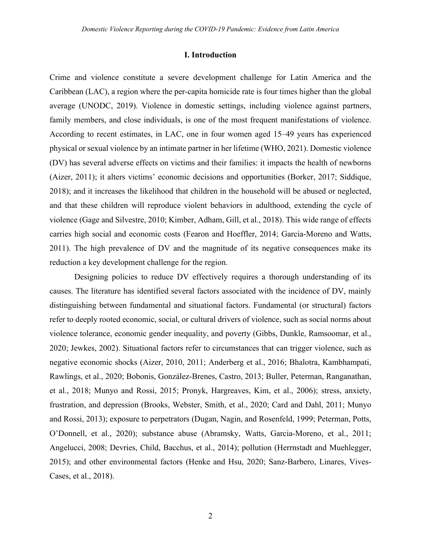#### **I. Introduction**

Crime and violence constitute a severe development challenge for Latin America and the Caribbean (LAC), a region where the per-capita homicide rate is four times higher than the global average (UNODC, 2019). Violence in domestic settings, including violence against partners, family members, and close individuals, is one of the most frequent manifestations of violence. According to recent estimates, in LAC, one in four women aged 15–49 years has experienced physical or sexual violence by an intimate partner in her lifetime (WHO, 2021). Domestic violence (DV) has several adverse effects on victims and their families: it impacts the health of newborns (Aizer, 2011); it alters victims' economic decisions and opportunities (Borker, 2017; Siddique, 2018); and it increases the likelihood that children in the household will be abused or neglected, and that these children will reproduce violent behaviors in adulthood, extending the cycle of violence (Gage and Silvestre, 2010; Kimber, Adham, Gill, et al., 2018). This wide range of effects carries high social and economic costs (Fearon and Hoeffler, 2014; Garcia-Moreno and Watts, 2011). The high prevalence of DV and the magnitude of its negative consequences make its reduction a key development challenge for the region.

Designing policies to reduce DV effectively requires a thorough understanding of its causes. The literature has identified several factors associated with the incidence of DV, mainly distinguishing between fundamental and situational factors. Fundamental (or structural) factors refer to deeply rooted economic, social, or cultural drivers of violence, such as social norms about violence tolerance, economic gender inequality, and poverty (Gibbs, Dunkle, Ramsoomar, et al., 2020; Jewkes, 2002). Situational factors refer to circumstances that can trigger violence, such as negative economic shocks (Aizer, 2010, 2011; Anderberg et al., 2016; Bhalotra, Kambhampati, Rawlings, et al., 2020; Bobonis, González-Brenes, Castro, 2013; Buller, Peterman, Ranganathan, et al., 2018; Munyo and Rossi, 2015; Pronyk, Hargreaves, Kim, et al., 2006); stress, anxiety, frustration, and depression (Brooks, Webster, Smith, et al., 2020; Card and Dahl, 2011; Munyo and Rossi, 2013); exposure to perpetrators (Dugan, Nagin, and Rosenfeld, 1999; Peterman, Potts, O'Donnell, et al., 2020); substance abuse (Abramsky, Watts, Garcia-Moreno, et al., 2011; Angelucci, 2008; Devries, Child, Bacchus, et al., 2014); pollution (Herrnstadt and Muehlegger, 2015); and other environmental factors (Henke and Hsu, 2020; Sanz-Barbero, Linares, Vives-Cases, et al., 2018).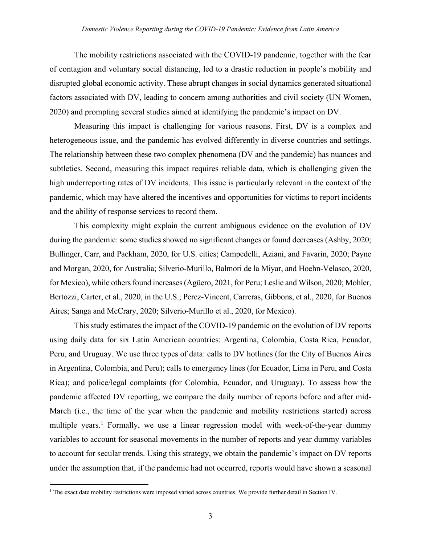The mobility restrictions associated with the COVID-19 pandemic, together with the fear of contagion and voluntary social distancing, led to a drastic reduction in people's mobility and disrupted global economic activity. These abrupt changes in social dynamics generated situational factors associated with DV, leading to concern among authorities and civil society (UN Women, 2020) and prompting several studies aimed at identifying the pandemic's impact on DV.

Measuring this impact is challenging for various reasons. First, DV is a complex and heterogeneous issue, and the pandemic has evolved differently in diverse countries and settings. The relationship between these two complex phenomena (DV and the pandemic) has nuances and subtleties. Second, measuring this impact requires reliable data, which is challenging given the high underreporting rates of DV incidents. This issue is particularly relevant in the context of the pandemic, which may have altered the incentives and opportunities for victims to report incidents and the ability of response services to record them.

This complexity might explain the current ambiguous evidence on the evolution of DV during the pandemic: some studies showed no significant changes or found decreases (Ashby, 2020; Bullinger, Carr, and Packham, 2020, for U.S. cities; Campedelli, Aziani, and Favarin, 2020; Payne and Morgan, 2020, for Australia; Silverio-Murillo, Balmori de la Miyar, and Hoehn-Velasco, 2020, for Mexico), while others found increases (Agüero, 2021, for Peru; Leslie and Wilson, 2020; Mohler, Bertozzi, Carter, et al., 2020, in the U.S.; Perez-Vincent, Carreras, Gibbons, et al., 2020, for Buenos Aires; Sanga and McCrary, 2020; Silverio-Murillo et al., 2020, for Mexico).

This study estimates the impact of the COVID-19 pandemic on the evolution of DV reports using daily data for six Latin American countries: Argentina, Colombia, Costa Rica, Ecuador, Peru, and Uruguay. We use three types of data: calls to DV hotlines (for the City of Buenos Aires in Argentina, Colombia, and Peru); calls to emergency lines (for Ecuador, Lima in Peru, and Costa Rica); and police/legal complaints (for Colombia, Ecuador, and Uruguay). To assess how the pandemic affected DV reporting, we compare the daily number of reports before and after mid-March (i.e., the time of the year when the pandemic and mobility restrictions started) across multiple years.<sup>1</sup> Formally, we use a linear regression model with week-of-the-year dummy variables to account for seasonal movements in the number of reports and year dummy variables to account for secular trends. Using this strategy, we obtain the pandemic's impact on DV reports under the assumption that, if the pandemic had not occurred, reports would have shown a seasonal

<sup>&</sup>lt;sup>1</sup> The exact date mobility restrictions were imposed varied across countries. We provide further detail in Section IV.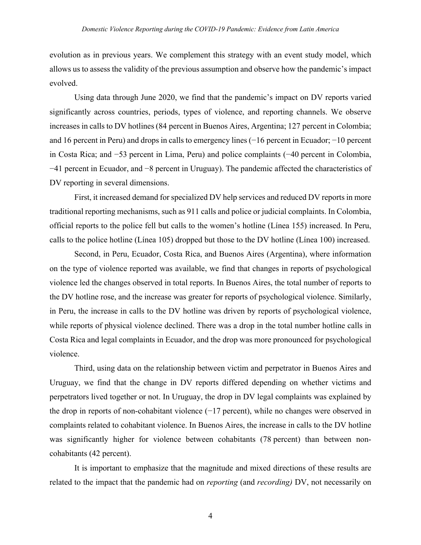evolution as in previous years. We complement this strategy with an event study model, which allows us to assess the validity of the previous assumption and observe how the pandemic's impact evolved.

Using data through June 2020, we find that the pandemic's impact on DV reports varied significantly across countries, periods, types of violence, and reporting channels. We observe increases in calls to DV hotlines (84 percent in Buenos Aires, Argentina; 127 percent in Colombia; and 16 percent in Peru) and drops in calls to emergency lines (−16 percent in Ecuador; −10 percent in Costa Rica; and −53 percent in Lima, Peru) and police complaints (−40 percent in Colombia, −41 percent in Ecuador, and −8 percent in Uruguay). The pandemic affected the characteristics of DV reporting in several dimensions.

First, it increased demand for specialized DV help services and reduced DV reports in more traditional reporting mechanisms, such as 911 calls and police or judicial complaints. In Colombia, official reports to the police fell but calls to the women's hotline (Línea 155) increased. In Peru, calls to the police hotline (Línea 105) dropped but those to the DV hotline (Línea 100) increased.

Second, in Peru, Ecuador, Costa Rica, and Buenos Aires (Argentina), where information on the type of violence reported was available, we find that changes in reports of psychological violence led the changes observed in total reports. In Buenos Aires, the total number of reports to the DV hotline rose, and the increase was greater for reports of psychological violence. Similarly, in Peru, the increase in calls to the DV hotline was driven by reports of psychological violence, while reports of physical violence declined. There was a drop in the total number hotline calls in Costa Rica and legal complaints in Ecuador, and the drop was more pronounced for psychological violence.

Third, using data on the relationship between victim and perpetrator in Buenos Aires and Uruguay, we find that the change in DV reports differed depending on whether victims and perpetrators lived together or not. In Uruguay, the drop in DV legal complaints was explained by the drop in reports of non-cohabitant violence (−17 percent), while no changes were observed in complaints related to cohabitant violence. In Buenos Aires, the increase in calls to the DV hotline was significantly higher for violence between cohabitants (78 percent) than between noncohabitants (42 percent).

It is important to emphasize that the magnitude and mixed directions of these results are related to the impact that the pandemic had on *reporting* (and *recording)* DV, not necessarily on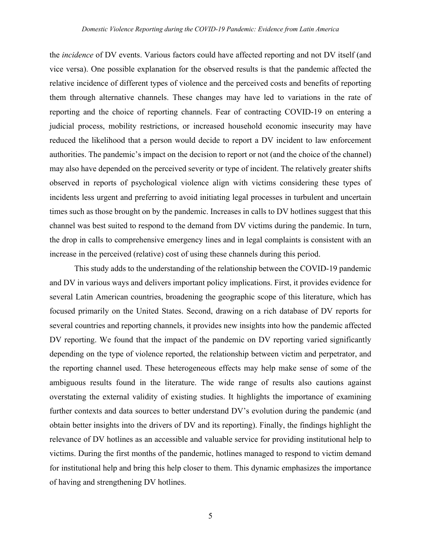the *incidence* of DV events. Various factors could have affected reporting and not DV itself (and vice versa). One possible explanation for the observed results is that the pandemic affected the relative incidence of different types of violence and the perceived costs and benefits of reporting them through alternative channels. These changes may have led to variations in the rate of reporting and the choice of reporting channels. Fear of contracting COVID-19 on entering a judicial process, mobility restrictions, or increased household economic insecurity may have reduced the likelihood that a person would decide to report a DV incident to law enforcement authorities. The pandemic's impact on the decision to report or not (and the choice of the channel) may also have depended on the perceived severity or type of incident. The relatively greater shifts observed in reports of psychological violence align with victims considering these types of incidents less urgent and preferring to avoid initiating legal processes in turbulent and uncertain times such as those brought on by the pandemic. Increases in calls to DV hotlines suggest that this channel was best suited to respond to the demand from DV victims during the pandemic. In turn, the drop in calls to comprehensive emergency lines and in legal complaints is consistent with an increase in the perceived (relative) cost of using these channels during this period.

This study adds to the understanding of the relationship between the COVID-19 pandemic and DV in various ways and delivers important policy implications. First, it provides evidence for several Latin American countries, broadening the geographic scope of this literature, which has focused primarily on the United States. Second, drawing on a rich database of DV reports for several countries and reporting channels, it provides new insights into how the pandemic affected DV reporting. We found that the impact of the pandemic on DV reporting varied significantly depending on the type of violence reported, the relationship between victim and perpetrator, and the reporting channel used. These heterogeneous effects may help make sense of some of the ambiguous results found in the literature. The wide range of results also cautions against overstating the external validity of existing studies. It highlights the importance of examining further contexts and data sources to better understand DV's evolution during the pandemic (and obtain better insights into the drivers of DV and its reporting). Finally, the findings highlight the relevance of DV hotlines as an accessible and valuable service for providing institutional help to victims. During the first months of the pandemic, hotlines managed to respond to victim demand for institutional help and bring this help closer to them. This dynamic emphasizes the importance of having and strengthening DV hotlines.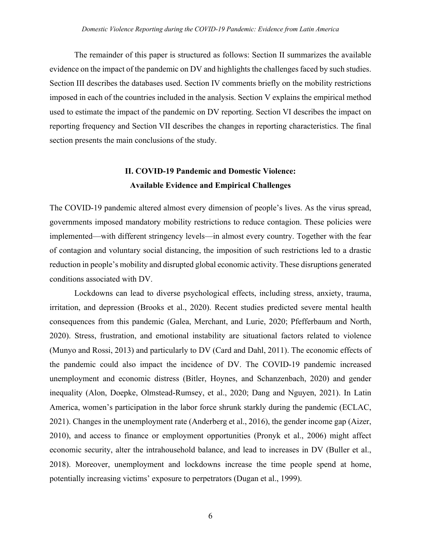The remainder of this paper is structured as follows: Section II summarizes the available evidence on the impact of the pandemic on DV and highlights the challenges faced by such studies. Section III describes the databases used. Section IV comments briefly on the mobility restrictions imposed in each of the countries included in the analysis. Section V explains the empirical method used to estimate the impact of the pandemic on DV reporting. Section VI describes the impact on reporting frequency and Section VII describes the changes in reporting characteristics. The final section presents the main conclusions of the study.

## **II. COVID-19 Pandemic and Domestic Violence: Available Evidence and Empirical Challenges**

The COVID-19 pandemic altered almost every dimension of people's lives. As the virus spread, governments imposed mandatory mobility restrictions to reduce contagion. These policies were implemented—with different stringency levels—in almost every country. Together with the fear of contagion and voluntary social distancing, the imposition of such restrictions led to a drastic reduction in people's mobility and disrupted global economic activity. These disruptions generated conditions associated with DV.

Lockdowns can lead to diverse psychological effects, including stress, anxiety, trauma, irritation, and depression (Brooks et al., 2020). Recent studies predicted severe mental health consequences from this pandemic (Galea, Merchant, and Lurie, 2020; Pfefferbaum and North, 2020). Stress, frustration, and emotional instability are situational factors related to violence (Munyo and Rossi, 2013) and particularly to DV (Card and Dahl, 2011). The economic effects of the pandemic could also impact the incidence of DV. The COVID-19 pandemic increased unemployment and economic distress (Bitler, Hoynes, and Schanzenbach, 2020) and gender inequality (Alon, Doepke, Olmstead-Rumsey, et al., 2020; Dang and Nguyen, 2021). In Latin America, women's participation in the labor force shrunk starkly during the pandemic (ECLAC, 2021). Changes in the unemployment rate (Anderberg et al., 2016), the gender income gap (Aizer, 2010), and access to finance or employment opportunities (Pronyk et al., 2006) might affect economic security, alter the intrahousehold balance, and lead to increases in DV (Buller et al., 2018). Moreover, unemployment and lockdowns increase the time people spend at home, potentially increasing victims' exposure to perpetrators (Dugan et al., 1999).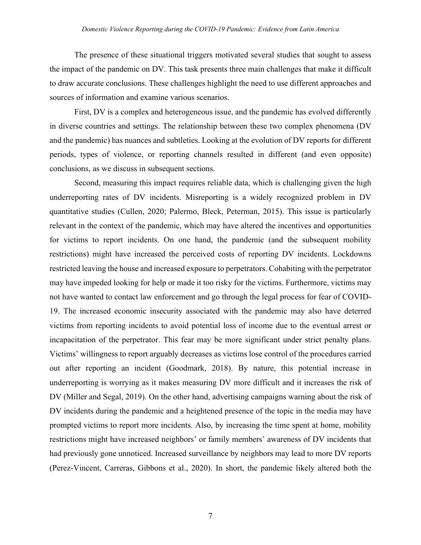The presence of these situational triggers motivated several studies that sought to assess the impact of the pandemic on DV. This task presents three main challenges that make it difficult to draw accurate conclusions. These challenges highlight the need to use different approaches and sources of information and examine various scenarios.

First, DV is a complex and heterogeneous issue, and the pandemic has evolved differently in diverse countries and settings. The relationship between these two complex phenomena (DV and the pandemic) has nuances and subtleties. Looking at the evolution of DV reports for different periods, types of violence, or reporting channels resulted in different (and even opposite) conclusions, as we discuss in subsequent sections.

Second, measuring this impact requires reliable data, which is challenging given the high underreporting rates of DV incidents. Misreporting is a widely recognized problem in DV quantitative studies (Cullen, 2020; Palermo, Bleck, Peterman, 2015). This issue is particularly relevant in the context of the pandemic, which may have altered the incentives and opportunities for victims to report incidents. On one hand, the pandemic (and the subsequent mobility restrictions) might have increased the perceived costs of reporting DV incidents. Lockdowns restricted leaving the house and increased exposure to perpetrators. Cohabiting with the perpetrator may have impeded looking for help or made it too risky for the victims. Furthermore, victims may not have wanted to contact law enforcement and go through the legal process for fear of COVID-19. The increased economic insecurity associated with the pandemic may also have deterred victims from reporting incidents to avoid potential loss of income due to the eventual arrest or incapacitation of the perpetrator. This fear may be more significant under strict penalty plans. Victims' willingness to report arguably decreases as victims lose control of the procedures carried out after reporting an incident (Goodmark, 2018). By nature, this potential increase in underreporting is worrying as it makes measuring DV more difficult and it increases the risk of DV (Miller and Segal, 2019). On the other hand, advertising campaigns warning about the risk of DV incidents during the pandemic and a heightened presence of the topic in the media may have prompted victims to report more incidents. Also, by increasing the time spent at home, mobility restrictions might have increased neighbors' or family members' awareness of DV incidents that had previously gone unnoticed. Increased surveillance by neighbors may lead to more DV reports (Perez-Vincent, Carreras, Gibbons et al., 2020). In short, the pandemic likely altered both the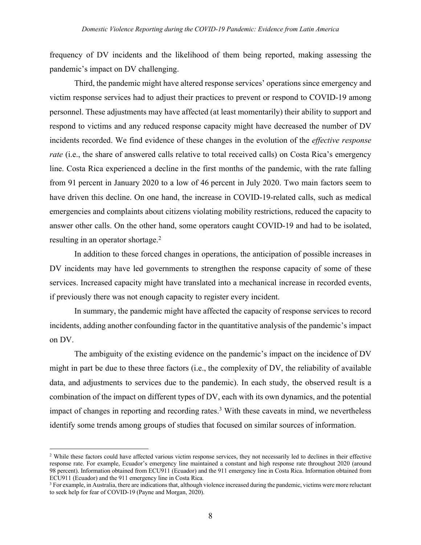frequency of DV incidents and the likelihood of them being reported, making assessing the pandemic's impact on DV challenging.

Third, the pandemic might have altered response services' operations since emergency and victim response services had to adjust their practices to prevent or respond to COVID-19 among personnel. These adjustments may have affected (at least momentarily) their ability to support and respond to victims and any reduced response capacity might have decreased the number of DV incidents recorded. We find evidence of these changes in the evolution of the *effective response rate* (i.e., the share of answered calls relative to total received calls) on Costa Rica's emergency line. Costa Rica experienced a decline in the first months of the pandemic, with the rate falling from 91 percent in January 2020 to a low of 46 percent in July 2020. Two main factors seem to have driven this decline. On one hand, the increase in COVID-19-related calls, such as medical emergencies and complaints about citizens violating mobility restrictions, reduced the capacity to answer other calls. On the other hand, some operators caught COVID-19 and had to be isolated, resulting in an operator shortage.<sup>2</sup>

In addition to these forced changes in operations, the anticipation of possible increases in DV incidents may have led governments to strengthen the response capacity of some of these services. Increased capacity might have translated into a mechanical increase in recorded events, if previously there was not enough capacity to register every incident.

In summary, the pandemic might have affected the capacity of response services to record incidents, adding another confounding factor in the quantitative analysis of the pandemic's impact on DV.

The ambiguity of the existing evidence on the pandemic's impact on the incidence of DV might in part be due to these three factors (i.e., the complexity of DV, the reliability of available data, and adjustments to services due to the pandemic). In each study, the observed result is a combination of the impact on different types of DV, each with its own dynamics, and the potential impact of changes in reporting and recording rates.3 With these caveats in mind, we nevertheless identify some trends among groups of studies that focused on similar sources of information.

<sup>&</sup>lt;sup>2</sup> While these factors could have affected various victim response services, they not necessarily led to declines in their effective response rate. For example, Ecuador's emergency line maintained a constant and high response rate throughout 2020 (around 98 percent). Information obtained from ECU911 (Ecuador) and the 911 emergency line in Costa Rica. Information obtained from ECU911 (Ecuador) and the 911 emergency line in Costa Rica.

<sup>&</sup>lt;sup>3</sup> For example, in Australia, there are indications that, although violence increased during the pandemic, victims were more reluctant to seek help for fear of COVID-19 (Payne and Morgan, 2020).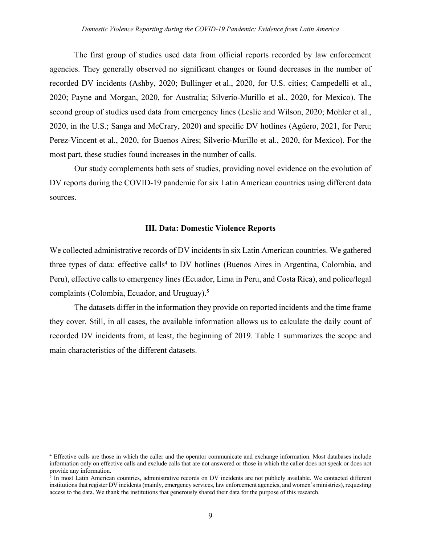The first group of studies used data from official reports recorded by law enforcement agencies. They generally observed no significant changes or found decreases in the number of recorded DV incidents (Ashby, 2020; Bullinger et al., 2020, for U.S. cities; Campedelli et al., 2020; Payne and Morgan, 2020, for Australia; Silverio-Murillo et al., 2020, for Mexico). The second group of studies used data from emergency lines (Leslie and Wilson, 2020; Mohler et al., 2020, in the U.S.; Sanga and McCrary, 2020) and specific DV hotlines (Agüero, 2021, for Peru; Perez-Vincent et al., 2020, for Buenos Aires; Silverio-Murillo et al., 2020, for Mexico). For the most part, these studies found increases in the number of calls.

Our study complements both sets of studies, providing novel evidence on the evolution of DV reports during the COVID-19 pandemic for six Latin American countries using different data sources.

#### **III. Data: Domestic Violence Reports**

We collected administrative records of DV incidents in six Latin American countries. We gathered three types of data: effective calls<sup>4</sup> to DV hotlines (Buenos Aires in Argentina, Colombia, and Peru), effective calls to emergency lines (Ecuador, Lima in Peru, and Costa Rica), and police/legal complaints (Colombia, Ecuador, and Uruguay).5

The datasets differ in the information they provide on reported incidents and the time frame they cover. Still, in all cases, the available information allows us to calculate the daily count of recorded DV incidents from, at least, the beginning of 2019. Table 1 summarizes the scope and main characteristics of the different datasets.

<sup>4</sup> Effective calls are those in which the caller and the operator communicate and exchange information. Most databases include information only on effective calls and exclude calls that are not answered or those in which the caller does not speak or does not provide any information.

 $\frac{1}{3}$  In most Latin American countries, administrative records on DV incidents are not publicly available. We contacted different institutions that register DV incidents (mainly, emergency services, law enforcement agencies, and women's ministries), requesting access to the data. We thank the institutions that generously shared their data for the purpose of this research.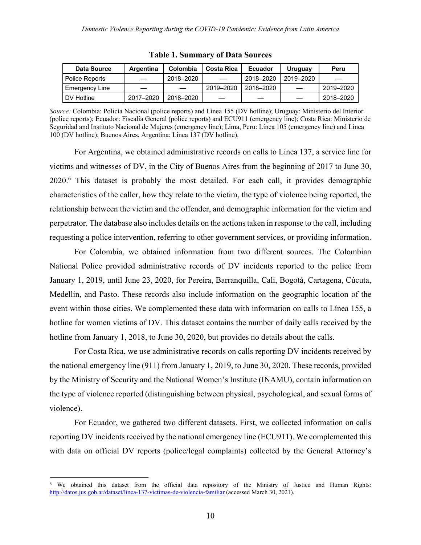| <b>Data Source</b>    | Argentina | Colombia  | <b>Costa Rica</b> | <b>Ecuador</b> | Uruguay   | Peru      |
|-----------------------|-----------|-----------|-------------------|----------------|-----------|-----------|
| Police Reports        |           | 2018–2020 |                   | 2018-2020      | 2019-2020 |           |
| <b>Emergency Line</b> |           |           | 2019-2020         | 2018–2020      |           | 2019-2020 |
| DV Hotline            | 2017-2020 | 2018-2020 |                   |                |           | 2018-2020 |

**Table 1. Summary of Data Sources**

*Source:* Colombia: Policía Nacional (police reports) and Línea 155 (DV hotline); Uruguay: Ministerio del Interior (police reports); Ecuador: Fiscalía General (police reports) and ECU911 (emergency line); Costa Rica: Ministerio de Seguridad and Instituto Nacional de Mujeres (emergency line); Lima, Peru: Línea 105 (emergency line) and Línea 100 (DV hotline); Buenos Aires, Argentina: Línea 137 (DV hotline).

For Argentina, we obtained administrative records on calls to Línea 137, a service line for victims and witnesses of DV, in the City of Buenos Aires from the beginning of 2017 to June 30, 2020. <sup>6</sup> This dataset is probably the most detailed. For each call, it provides demographic characteristics of the caller, how they relate to the victim, the type of violence being reported, the relationship between the victim and the offender, and demographic information for the victim and perpetrator. The database also includes details on the actions taken in response to the call, including requesting a police intervention, referring to other government services, or providing information.

For Colombia, we obtained information from two different sources. The Colombian National Police provided administrative records of DV incidents reported to the police from January 1, 2019, until June 23, 2020, for Pereira, Barranquilla, Cali, Bogotá, Cartagena, Cúcuta, Medellin, and Pasto. These records also include information on the geographic location of the event within those cities. We complemented these data with information on calls to Línea 155, a hotline for women victims of DV. This dataset contains the number of daily calls received by the hotline from January 1, 2018, to June 30, 2020, but provides no details about the calls.

For Costa Rica, we use administrative records on calls reporting DV incidents received by the national emergency line (911) from January 1, 2019, to June 30, 2020. These records, provided by the Ministry of Security and the National Women's Institute (INAMU), contain information on the type of violence reported (distinguishing between physical, psychological, and sexual forms of violence).

For Ecuador, we gathered two different datasets. First, we collected information on calls reporting DV incidents received by the national emergency line (ECU911). We complemented this with data on official DV reports (police/legal complaints) collected by the General Attorney's

<sup>6</sup> We obtained this dataset from the official data repository of the Ministry of Justice and Human Rights: http://datos.jus.gob.ar/dataset/linea-137-victimas-de-violencia-familiar (accessed March 30, 2021).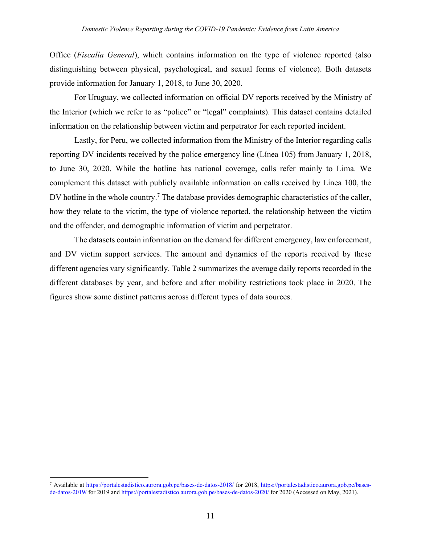Office (*Fiscalía General*), which contains information on the type of violence reported (also distinguishing between physical, psychological, and sexual forms of violence). Both datasets provide information for January 1, 2018, to June 30, 2020.

For Uruguay, we collected information on official DV reports received by the Ministry of the Interior (which we refer to as "police" or "legal" complaints). This dataset contains detailed information on the relationship between victim and perpetrator for each reported incident.

Lastly, for Peru, we collected information from the Ministry of the Interior regarding calls reporting DV incidents received by the police emergency line (Línea 105) from January 1, 2018, to June 30, 2020. While the hotline has national coverage, calls refer mainly to Lima. We complement this dataset with publicly available information on calls received by Línea 100, the DV hotline in the whole country.<sup>7</sup> The database provides demographic characteristics of the caller, how they relate to the victim, the type of violence reported, the relationship between the victim and the offender, and demographic information of victim and perpetrator.

The datasets contain information on the demand for different emergency, law enforcement, and DV victim support services. The amount and dynamics of the reports received by these different agencies vary significantly. Table 2 summarizes the average daily reports recorded in the different databases by year, and before and after mobility restrictions took place in 2020. The figures show some distinct patterns across different types of data sources.

<sup>7</sup> Available at https://portalestadistico.aurora.gob.pe/bases-de-datos-2018/ for 2018, https://portalestadistico.aurora.gob.pe/basesde-datos-2019/ for 2019 and https://portalestadistico.aurora.gob.pe/bases-de-datos-2020/ for 2020 (Accessed on May, 2021).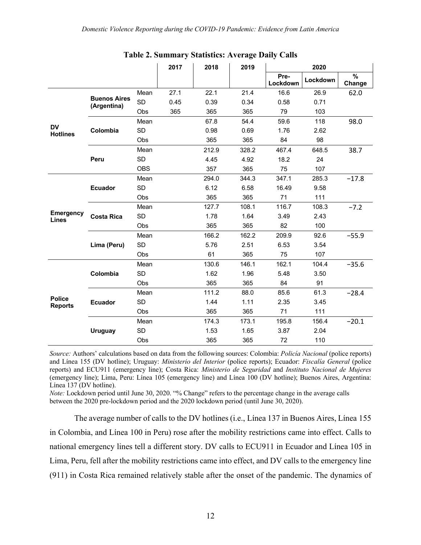|                                 |                                    |            | 2017 | 2018  | 2019  |                  | 2020     |             |
|---------------------------------|------------------------------------|------------|------|-------|-------|------------------|----------|-------------|
|                                 |                                    |            |      |       |       | Pre-<br>Lockdown | Lockdown | %<br>Change |
|                                 |                                    | Mean       | 27.1 | 22.1  | 21.4  | 16.6             | 26.9     | 62.0        |
|                                 | <b>Buenos Aires</b><br>(Argentina) | <b>SD</b>  | 0.45 | 0.39  | 0.34  | 0.58             | 0.71     |             |
|                                 |                                    | Obs        | 365  | 365   | 365   | 79               | 103      |             |
|                                 |                                    | Mean       |      | 67.8  | 54.4  | 59.6             | 118      | 98.0        |
| <b>DV</b><br><b>Hotlines</b>    | Colombia                           | <b>SD</b>  |      | 0.98  | 0.69  | 1.76             | 2.62     |             |
|                                 |                                    | Obs        |      | 365   | 365   | 84               | 98       |             |
|                                 |                                    | Mean       |      | 212.9 | 328.2 | 467.4            | 648.5    | 38.7        |
|                                 | Peru                               | <b>SD</b>  |      | 4.45  | 4.92  | 18.2             | 24       |             |
|                                 |                                    | <b>OBS</b> |      | 357   | 365   | 75               | 107      |             |
|                                 |                                    | Mean       |      | 294.0 | 344.3 | 347.1            | 285.3    | $-17.8$     |
|                                 | <b>Ecuador</b>                     | <b>SD</b>  |      | 6.12  | 6.58  | 16.49            | 9.58     |             |
|                                 |                                    | Obs        |      | 365   | 365   | 71               | 111      |             |
|                                 |                                    | Mean       |      | 127.7 | 108.1 | 116.7            | 108.3    | $-7.2$      |
| <b>Emergency</b><br>Lines       | <b>Costa Rica</b>                  | <b>SD</b>  |      | 1.78  | 1.64  | 3.49             | 2.43     |             |
|                                 |                                    | Obs        |      | 365   | 365   | 82               | 100      |             |
|                                 |                                    | Mean       |      | 166.2 | 162.2 | 209.9            | 92.6     | $-55.9$     |
|                                 | Lima (Peru)                        | <b>SD</b>  |      | 5.76  | 2.51  | 6.53             | 3.54     |             |
|                                 |                                    | Obs        |      | 61    | 365   | 75               | 107      |             |
|                                 |                                    | Mean       |      | 130.6 | 146.1 | 162.1            | 104.4    | $-35.6$     |
|                                 | Colombia                           | <b>SD</b>  |      | 1.62  | 1.96  | 5.48             | 3.50     |             |
|                                 |                                    | Obs        |      | 365   | 365   | 84               | 91       |             |
|                                 |                                    | Mean       |      | 111.2 | 88.0  | 85.6             | 61.3     | $-28.4$     |
| <b>Police</b><br><b>Reports</b> | <b>Ecuador</b>                     | <b>SD</b>  |      | 1.44  | 1.11  | 2.35             | 3.45     |             |
|                                 |                                    | Obs        |      | 365   | 365   | 71               | 111      |             |
|                                 |                                    | Mean       |      | 174.3 | 173.1 | 195.8            | 156.4    | $-20.1$     |
|                                 | <b>Uruguay</b>                     | <b>SD</b>  |      | 1.53  | 1.65  | 3.87             | 2.04     |             |
|                                 |                                    | Obs        |      | 365   | 365   | 72               | 110      |             |

**Table 2. Summary Statistics: Average Daily Calls**

*Source:* Authors' calculations based on data from the following sources: Colombia: *Policía Nacional* (police reports) and Línea 155 (DV hotline); Uruguay: *Ministerio del Interior* (police reports); Ecuador: *Fiscalía General* (police reports) and ECU911 (emergency line); Costa Rica: *Ministerio de Seguridad* and *Instituto Nacional de Mujeres* (emergency line); Lima, Peru: Línea 105 (emergency line) and Línea 100 (DV hotline); Buenos Aires, Argentina: Línea 137 (DV hotline).

*Note:* Lockdown period until June 30, 2020. "% Change" refers to the percentage change in the average calls between the 2020 pre-lockdown period and the 2020 lockdown period (until June 30, 2020).

The average number of calls to the DV hotlines (i.e., Línea 137 in Buenos Aires, Línea 155 in Colombia, and Línea 100 in Peru) rose after the mobility restrictions came into effect. Calls to national emergency lines tell a different story. DV calls to ECU911 in Ecuador and Línea 105 in Lima, Peru, fell after the mobility restrictions came into effect, and DV calls to the emergency line (911) in Costa Rica remained relatively stable after the onset of the pandemic. The dynamics of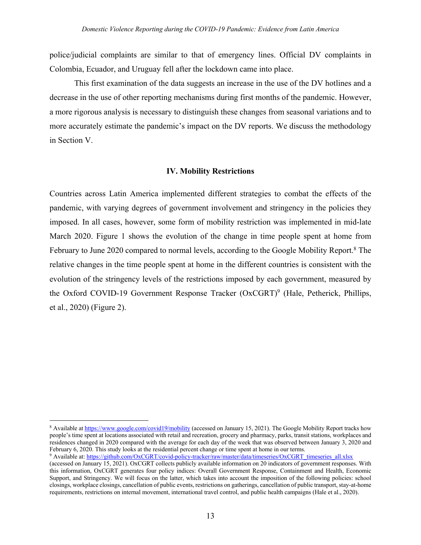police/judicial complaints are similar to that of emergency lines. Official DV complaints in Colombia, Ecuador, and Uruguay fell after the lockdown came into place.

This first examination of the data suggests an increase in the use of the DV hotlines and a decrease in the use of other reporting mechanisms during first months of the pandemic. However, a more rigorous analysis is necessary to distinguish these changes from seasonal variations and to more accurately estimate the pandemic's impact on the DV reports. We discuss the methodology in Section V.

#### **IV. Mobility Restrictions**

Countries across Latin America implemented different strategies to combat the effects of the pandemic, with varying degrees of government involvement and stringency in the policies they imposed. In all cases, however, some form of mobility restriction was implemented in mid-late March 2020. Figure 1 shows the evolution of the change in time people spent at home from February to June 2020 compared to normal levels, according to the Google Mobility Report.<sup>8</sup> The relative changes in the time people spent at home in the different countries is consistent with the evolution of the stringency levels of the restrictions imposed by each government, measured by the Oxford COVID-19 Government Response Tracker (OxCGRT)<sup>9</sup> (Hale, Petherick, Phillips, et al., 2020) (Figure 2).

<sup>9</sup> Available at: https://github.com/OxCGRT/covid-policy-tracker/raw/master/data/timeseries/OxCGRT\_timeseries\_all.xlsx

<sup>&</sup>lt;sup>8</sup> Available at https://www.google.com/covid19/mobility (accessed on January 15, 2021). The Google Mobility Report tracks how people's time spent at locations associated with retail and recreation, grocery and pharmacy, parks, transit stations, workplaces and residences changed in 2020 compared with the average for each day of the week that was observed between January 3, 2020 and February 6, 2020. This study looks at the residential percent change or time spent at home in our terms.

<sup>(</sup>accessed on January 15, 2021). OxCGRT collects publicly available information on 20 indicators of government responses. With this information, OxCGRT generates four policy indices: Overall Government Response, Containment and Health, Economic Support, and Stringency. We will focus on the latter, which takes into account the imposition of the following policies: school closings, workplace closings, cancellation of public events, restrictions on gatherings, cancellation of public transport, stay-at-home requirements, restrictions on internal movement, international travel control, and public health campaigns (Hale et al., 2020).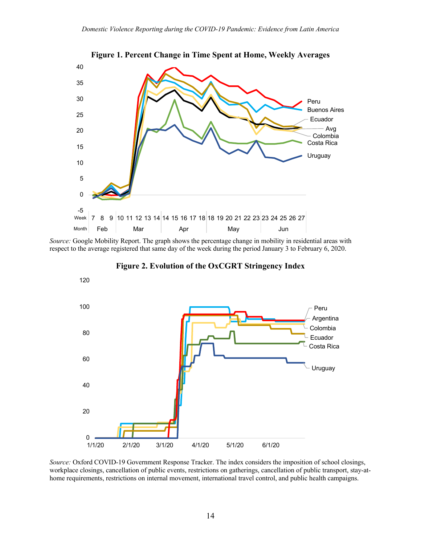

**Figure 1. Percent Change in Time Spent at Home, Weekly Averages**

*Source:* Google Mobility Report. The graph shows the percentage change in mobility in residential areas with respect to the average registered that same day of the week during the period January 3 to February 6, 2020.



**Figure 2. Evolution of the OxCGRT Stringency Index**

*Source:* Oxford COVID-19 Government Response Tracker. The index considers the imposition of school closings, workplace closings, cancellation of public events, restrictions on gatherings, cancellation of public transport, stay-athome requirements, restrictions on internal movement, international travel control, and public health campaigns.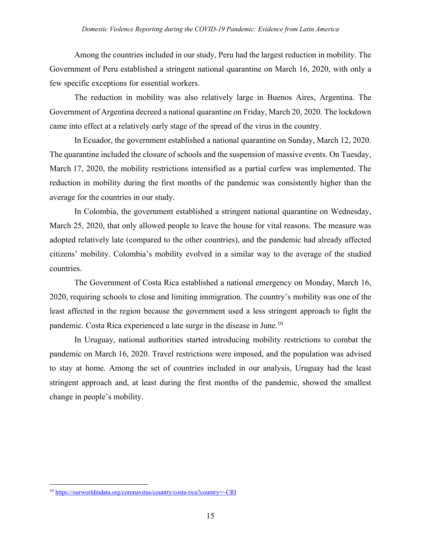Among the countries included in our study, Peru had the largest reduction in mobility. The Government of Peru established a stringent national quarantine on March 16, 2020, with only a few specific exceptions for essential workers.

The reduction in mobility was also relatively large in Buenos Aires, Argentina. The Government of Argentina decreed a national quarantine on Friday, March 20, 2020. The lockdown came into effect at a relatively early stage of the spread of the virus in the country.

In Ecuador, the government established a national quarantine on Sunday, March 12, 2020. The quarantine included the closure of schools and the suspension of massive events. On Tuesday, March 17, 2020, the mobility restrictions intensified as a partial curfew was implemented. The reduction in mobility during the first months of the pandemic was consistently higher than the average for the countries in our study.

In Colombia, the government established a stringent national quarantine on Wednesday, March 25, 2020, that only allowed people to leave the house for vital reasons. The measure was adopted relatively late (compared to the other countries), and the pandemic had already affected citizens' mobility. Colombia's mobility evolved in a similar way to the average of the studied countries.

The Government of Costa Rica established a national emergency on Monday, March 16, 2020, requiring schools to close and limiting immigration. The country's mobility was one of the least affected in the region because the government used a less stringent approach to fight the pandemic. Costa Rica experienced a late surge in the disease in June.10

In Uruguay, national authorities started introducing mobility restrictions to combat the pandemic on March 16, 2020. Travel restrictions were imposed, and the population was advised to stay at home. Among the set of countries included in our analysis, Uruguay had the least stringent approach and, at least during the first months of the pandemic, showed the smallest change in people's mobility.

<sup>10</sup> https://ourworldindata.org/coronavirus/country/costa-rica?country=~CRI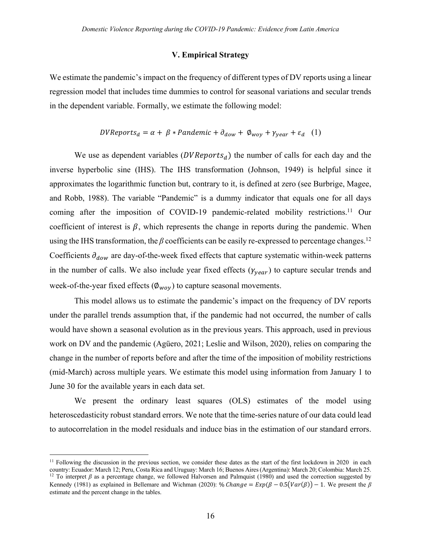#### **V. Empirical Strategy**

We estimate the pandemic's impact on the frequency of different types of DV reports using a linear regression model that includes time dummies to control for seasonal variations and secular trends in the dependent variable. Formally, we estimate the following model:

$$
DVReports_d = \alpha + \beta * Pandemic + \partial_{dow} + \emptyset_{woy} + \gamma_{year} + \varepsilon_d \quad (1)
$$

We use as dependent variables  $(DVReports_d)$  the number of calls for each day and the inverse hyperbolic sine (IHS). The IHS transformation (Johnson, 1949) is helpful since it approximates the logarithmic function but, contrary to it, is defined at zero (see Burbrige, Magee, and Robb, 1988). The variable "Pandemic" is a dummy indicator that equals one for all days coming after the imposition of COVID-19 pandemic-related mobility restrictions.<sup>11</sup> Our coefficient of interest is  $\beta$ , which represents the change in reports during the pandemic. When using the IHS transformation, the  $\beta$  coefficients can be easily re-expressed to percentage changes.<sup>12</sup> Coefficients  $\partial_{dow}$  are day-of-the-week fixed effects that capture systematic within-week patterns in the number of calls. We also include year fixed effects  $(\gamma_{\text{year}})$  to capture secular trends and week-of-the-year fixed effects ( $\varnothing_{\rm wov}$ ) to capture seasonal movements.

This model allows us to estimate the pandemic's impact on the frequency of DV reports under the parallel trends assumption that, if the pandemic had not occurred, the number of calls would have shown a seasonal evolution as in the previous years. This approach, used in previous work on DV and the pandemic (Agüero, 2021; Leslie and Wilson, 2020), relies on comparing the change in the number of reports before and after the time of the imposition of mobility restrictions (mid-March) across multiple years. We estimate this model using information from January 1 to June 30 for the available years in each data set.

We present the ordinary least squares (OLS) estimates of the model using heteroscedasticity robust standard errors. We note that the time-series nature of our data could lead to autocorrelation in the model residuals and induce bias in the estimation of our standard errors.

<sup>&</sup>lt;sup>11</sup> Following the discussion in the previous section, we consider these dates as the start of the first lockdown in 2020 in each country: Ecuador: March 12; Peru, Costa Rica and Uruguay: March 16; Buenos Aires (Argentina): March 20; Colombia: March 25.

<sup>&</sup>lt;sup>12</sup> To interpret  $\beta$  as a percentage change, we followed Halvorsen and Palmquist (1980) and used the correction suggested by Kennedy (1981) as explained in Bellemare and Wichman (2020): % Change =  $Exp(\beta - 0.5(Var(\beta)) - 1$ . We present the  $\beta$ estimate and the percent change in the tables.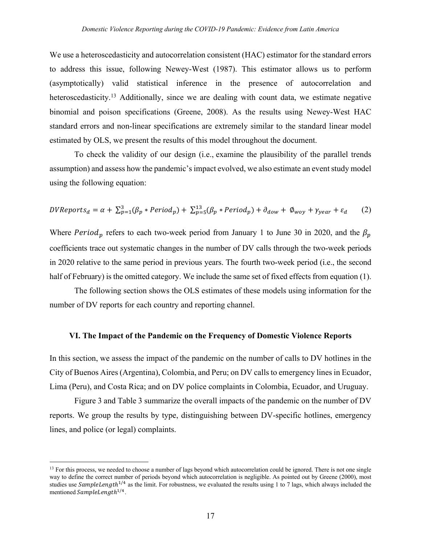We use a heteroscedasticity and autocorrelation consistent (HAC) estimator for the standard errors to address this issue, following Newey-West (1987). This estimator allows us to perform (asymptotically) valid statistical inference in the presence of autocorrelation and heteroscedasticity.<sup>13</sup> Additionally, since we are dealing with count data, we estimate negative binomial and poison specifications (Greene, 2008). As the results using Newey-West HAC standard errors and non-linear specifications are extremely similar to the standard linear model estimated by OLS, we present the results of this model throughout the document.

To check the validity of our design (i.e., examine the plausibility of the parallel trends assumption) and assess how the pandemic'simpact evolved, we also estimate an event study model using the following equation:

$$
DVReports_d = \alpha + \sum_{p=1}^{3} (\beta_p * Period_p) + \sum_{p=5}^{13} (\beta_p * Period_p) + \partial_{dow} + \emptyset_{woy} + \gamma_{year} + \varepsilon_d
$$
 (2)

Where Period<sub>p</sub> refers to each two-week period from January 1 to June 30 in 2020, and the  $\beta_p$ coefficients trace out systematic changes in the number of DV calls through the two-week periods in 2020 relative to the same period in previous years. The fourth two-week period (i.e., the second half of February) is the omitted category. We include the same set of fixed effects from equation (1).

The following section shows the OLS estimates of these models using information for the number of DV reports for each country and reporting channel.

#### **VI. The Impact of the Pandemic on the Frequency of Domestic Violence Reports**

In this section, we assess the impact of the pandemic on the number of calls to DV hotlines in the City of Buenos Aires (Argentina), Colombia, and Peru; on DV calls to emergency lines in Ecuador, Lima (Peru), and Costa Rica; and on DV police complaints in Colombia, Ecuador, and Uruguay.

Figure 3 and Table 3 summarize the overall impacts of the pandemic on the number of DV reports. We group the results by type, distinguishing between DV-specific hotlines, emergency lines, and police (or legal) complaints.

<sup>&</sup>lt;sup>13</sup> For this process, we needed to choose a number of lags beyond which autocorrelation could be ignored. There is not one single way to define the correct number of periods beyond which autocorrelation is negligible. As pointed out by Greene (2000), most studies use SampleLength<sup>1/4</sup> as the limit. For robustness, we evaluated the results using 1 to 7 lags, which always included the mentioned SampleLength<sup>1/4</sup>.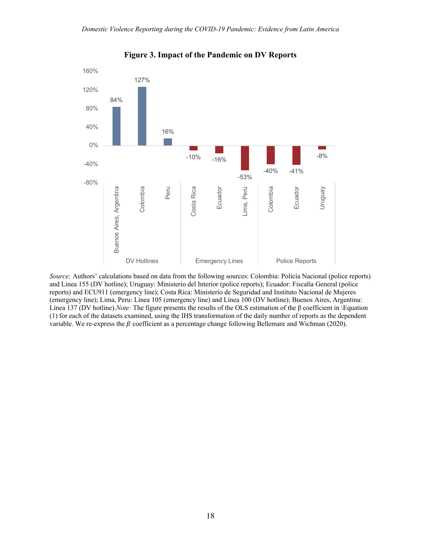

**Figure 3. Impact of the Pandemic on DV Reports**

*Source:* Authors' calculations based on data from the following sources: Colombia: Policía Nacional (police reports) and Línea 155 (DV hotline); Uruguay: Ministerio del Interior (police reports); Ecuador: Fiscalía General (police reports) and ECU911 (emergency line); Costa Rica: Ministerio de Seguridad and Instituto Nacional de Mujeres (emergency line); Lima, Peru: Línea 105 (emergency line) and Línea 100 (DV hotline); Buenos Aires, Argentina: Línea 137 (DV hotline).*Note:* The figure presents the results of the OLS estimation of the  $\beta$  coefficient in *Equation* (1) for each of the datasets examined, using the IHS transformation of the daily number of reports as the dependent variable. We re-express the  $\beta$  coefficient as a percentage change following Bellemare and Wichman (2020).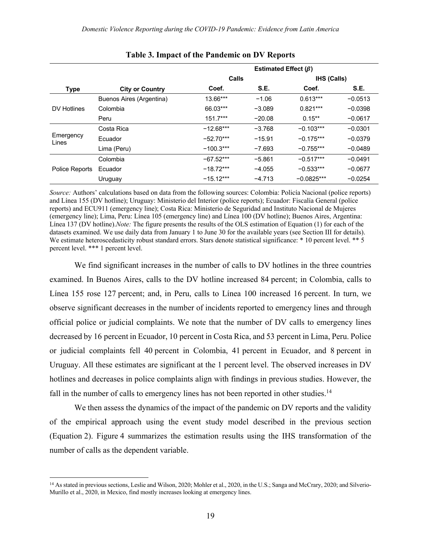|                    |                          | Estimated Effect $(\beta)$ |          |                    |           |
|--------------------|--------------------------|----------------------------|----------|--------------------|-----------|
|                    |                          | Calls                      |          | <b>IHS (Calls)</b> |           |
| <b>Type</b>        | <b>City or Country</b>   | Coef.                      | S.E.     | Coef.              | S.E.      |
|                    | Buenos Aires (Argentina) | 13.66***                   | $-1.06$  | $0.613***$         | $-0.0513$ |
| DV Hotlines        | Colombia                 | 66.03***                   | $-3.089$ | $0.821***$         | $-0.0398$ |
|                    | Peru                     | $151.7***$                 | $-20.08$ | $0.15**$           | $-0.0617$ |
|                    | Costa Rica               | $-12.68***$                | $-3.768$ | $-0.103***$        | $-0.0301$ |
| Emergency<br>Lines | Ecuador                  | $-52.70***$                | $-15.91$ | $-0.175***$        | $-0.0379$ |
|                    | Lima (Peru)              | $-100.3***$                | $-7.693$ | $-0.755***$        | $-0.0489$ |
|                    | Colombia                 | $-67.52***$                | $-5.861$ | $-0.517***$        | $-0.0491$ |
| Police Reports     | Ecuador                  | $-18.72***$                | $-4.055$ | $-0.533***$        | $-0.0677$ |
|                    | Uruguay                  | $-15.12***$                | $-4.713$ | $-0.0825***$       | $-0.0254$ |

**Table 3. Impact of the Pandemic on DV Reports**

*Source:* Authors' calculations based on data from the following sources: Colombia: Policía Nacional (police reports) and Línea 155 (DV hotline); Uruguay: Ministerio del Interior (police reports); Ecuador: Fiscalía General (police reports) and ECU911 (emergency line); Costa Rica: Ministerio de Seguridad and Instituto Nacional de Mujeres (emergency line); Lima, Peru: Línea 105 (emergency line) and Línea 100 (DV hotline); Buenos Aires, Argentina: Línea 137 (DV hotline).*Note:* The figure presents the results of the OLS estimation of Equation (1) for each of the datasets examined. We use daily data from January 1 to June 30 for the available years (see Section III for details). We estimate heteroscedasticity robust standard errors. Stars denote statistical significance: \* 10 percent level. \*\* 5 percent level. \*\*\* 1 percent level.

We find significant increases in the number of calls to DV hotlines in the three countries examined. In Buenos Aires, calls to the DV hotline increased 84 percent; in Colombia, calls to Línea 155 rose 127 percent; and, in Peru, calls to Línea 100 increased 16 percent. In turn, we observe significant decreases in the number of incidents reported to emergency lines and through official police or judicial complaints. We note that the number of DV calls to emergency lines decreased by 16 percent in Ecuador, 10 percent in Costa Rica, and 53 percent in Lima, Peru. Police or judicial complaints fell 40 percent in Colombia, 41 percent in Ecuador, and 8 percent in Uruguay. All these estimates are significant at the 1 percent level. The observed increases in DV hotlines and decreases in police complaints align with findings in previous studies. However, the fall in the number of calls to emergency lines has not been reported in other studies.<sup>14</sup>

We then assess the dynamics of the impact of the pandemic on DV reports and the validity of the empirical approach using the event study model described in the previous section (Equation 2). Figure 4 summarizes the estimation results using the IHS transformation of the number of calls as the dependent variable.

<sup>&</sup>lt;sup>14</sup> As stated in previous sections, Leslie and Wilson, 2020; Mohler et al., 2020, in the U.S.; Sanga and McCrary, 2020; and Silverio-Murillo et al., 2020, in Mexico, find mostly increases looking at emergency lines.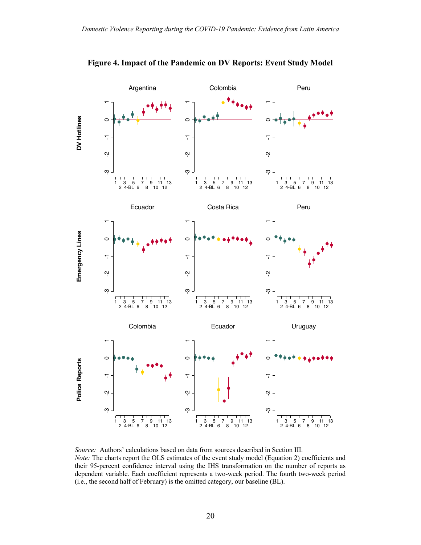

**Figure 4. Impact of the Pandemic on DV Reports: Event Study Model**

*Source:* Authors' calculations based on data from sources described in Section III. *Note:* The charts report the OLS estimates of the event study model (Equation 2) coefficients and their 95-percent confidence interval using the IHS transformation on the number of reports as dependent variable. Each coefficient represents a two-week period. The fourth two-week period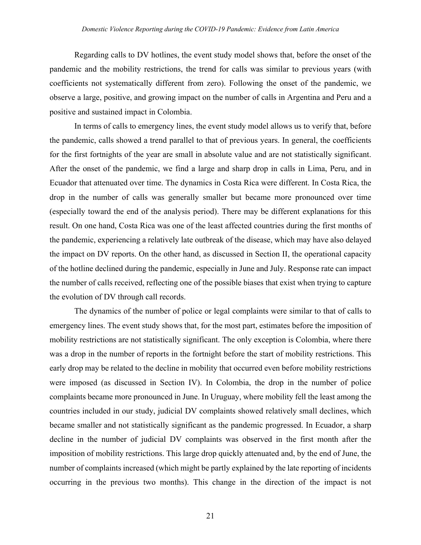Regarding calls to DV hotlines, the event study model shows that, before the onset of the pandemic and the mobility restrictions, the trend for calls was similar to previous years (with coefficients not systematically different from zero). Following the onset of the pandemic, we observe a large, positive, and growing impact on the number of calls in Argentina and Peru and a positive and sustained impact in Colombia.

In terms of calls to emergency lines, the event study model allows us to verify that, before the pandemic, calls showed a trend parallel to that of previous years. In general, the coefficients for the first fortnights of the year are small in absolute value and are not statistically significant. After the onset of the pandemic, we find a large and sharp drop in calls in Lima, Peru, and in Ecuador that attenuated over time. The dynamics in Costa Rica were different. In Costa Rica, the drop in the number of calls was generally smaller but became more pronounced over time (especially toward the end of the analysis period). There may be different explanations for this result. On one hand, Costa Rica was one of the least affected countries during the first months of the pandemic, experiencing a relatively late outbreak of the disease, which may have also delayed the impact on DV reports. On the other hand, as discussed in Section II, the operational capacity of the hotline declined during the pandemic, especially in June and July. Response rate can impact the number of calls received, reflecting one of the possible biases that exist when trying to capture the evolution of DV through call records.

The dynamics of the number of police or legal complaints were similar to that of calls to emergency lines. The event study shows that, for the most part, estimates before the imposition of mobility restrictions are not statistically significant. The only exception is Colombia, where there was a drop in the number of reports in the fortnight before the start of mobility restrictions. This early drop may be related to the decline in mobility that occurred even before mobility restrictions were imposed (as discussed in Section IV). In Colombia, the drop in the number of police complaints became more pronounced in June. In Uruguay, where mobility fell the least among the countries included in our study, judicial DV complaints showed relatively small declines, which became smaller and not statistically significant as the pandemic progressed. In Ecuador, a sharp decline in the number of judicial DV complaints was observed in the first month after the imposition of mobility restrictions. This large drop quickly attenuated and, by the end of June, the number of complaints increased (which might be partly explained by the late reporting of incidents occurring in the previous two months). This change in the direction of the impact is not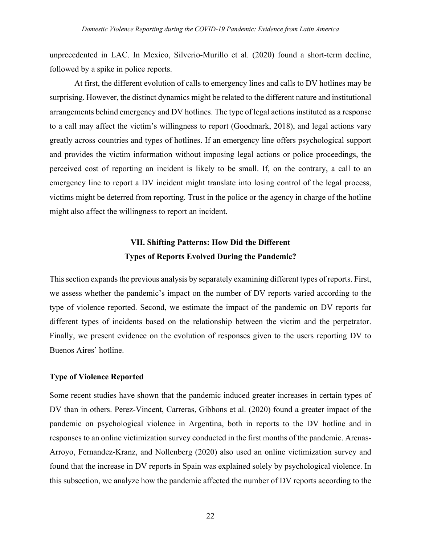unprecedented in LAC. In Mexico, Silverio-Murillo et al. (2020) found a short-term decline, followed by a spike in police reports.

At first, the different evolution of calls to emergency lines and calls to DV hotlines may be surprising. However, the distinct dynamics might be related to the different nature and institutional arrangements behind emergency and DV hotlines. The type of legal actions instituted as a response to a call may affect the victim's willingness to report (Goodmark, 2018), and legal actions vary greatly across countries and types of hotlines. If an emergency line offers psychological support and provides the victim information without imposing legal actions or police proceedings, the perceived cost of reporting an incident is likely to be small. If, on the contrary, a call to an emergency line to report a DV incident might translate into losing control of the legal process, victims might be deterred from reporting. Trust in the police or the agency in charge of the hotline might also affect the willingness to report an incident.

## **VII. Shifting Patterns: How Did the Different Types of Reports Evolved During the Pandemic?**

This section expands the previous analysis by separately examining different types of reports. First, we assess whether the pandemic's impact on the number of DV reports varied according to the type of violence reported. Second, we estimate the impact of the pandemic on DV reports for different types of incidents based on the relationship between the victim and the perpetrator. Finally, we present evidence on the evolution of responses given to the users reporting DV to Buenos Aires' hotline.

#### **Type of Violence Reported**

Some recent studies have shown that the pandemic induced greater increases in certain types of DV than in others. Perez-Vincent, Carreras, Gibbons et al. (2020) found a greater impact of the pandemic on psychological violence in Argentina, both in reports to the DV hotline and in responses to an online victimization survey conducted in the first months of the pandemic. Arenas-Arroyo, Fernandez-Kranz, and Nollenberg (2020) also used an online victimization survey and found that the increase in DV reports in Spain was explained solely by psychological violence. In this subsection, we analyze how the pandemic affected the number of DV reports according to the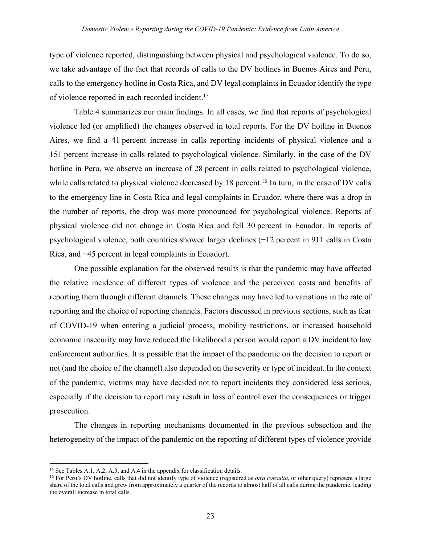type of violence reported, distinguishing between physical and psychological violence. To do so, we take advantage of the fact that records of calls to the DV hotlines in Buenos Aires and Peru, calls to the emergency hotline in Costa Rica, and DV legal complaints in Ecuador identify the type of violence reported in each recorded incident.15

Table 4 summarizes our main findings. In all cases, we find that reports of psychological violence led (or amplified) the changes observed in total reports. For the DV hotline in Buenos Aires, we find a 41 percent increase in calls reporting incidents of physical violence and a 151 percent increase in calls related to psychological violence. Similarly, in the case of the DV hotline in Peru, we observe an increase of 28 percent in calls related to psychological violence, while calls related to physical violence decreased by 18 percent.<sup>16</sup> In turn, in the case of DV calls to the emergency line in Costa Rica and legal complaints in Ecuador, where there was a drop in the number of reports, the drop was more pronounced for psychological violence. Reports of physical violence did not change in Costa Rica and fell 30 percent in Ecuador. In reports of psychological violence, both countries showed larger declines (−12 percent in 911 calls in Costa Rica, and −45 percent in legal complaints in Ecuador).

One possible explanation for the observed results is that the pandemic may have affected the relative incidence of different types of violence and the perceived costs and benefits of reporting them through different channels. These changes may have led to variations in the rate of reporting and the choice of reporting channels. Factors discussed in previous sections, such as fear of COVID-19 when entering a judicial process, mobility restrictions, or increased household economic insecurity may have reduced the likelihood a person would report a DV incident to law enforcement authorities. It is possible that the impact of the pandemic on the decision to report or not (and the choice of the channel) also depended on the severity or type of incident. In the context of the pandemic, victims may have decided not to report incidents they considered less serious, especially if the decision to report may result in loss of control over the consequences or trigger prosecution.

The changes in reporting mechanisms documented in the previous subsection and the heterogeneity of the impact of the pandemic on the reporting of different types of violence provide

<sup>&</sup>lt;sup>15</sup> See Tables A.1, A.2, A.3, and A.4 in the appendix for classification details.

<sup>&</sup>lt;sup>16</sup> For Peru's DV hotline, calls that did not identify type of violence (registered as *otra consulta*, or other query) represent a large share of the total calls and grew from approximately a quarter of the records to almost half of all calls during the pandemic, leading the overall increase in total calls.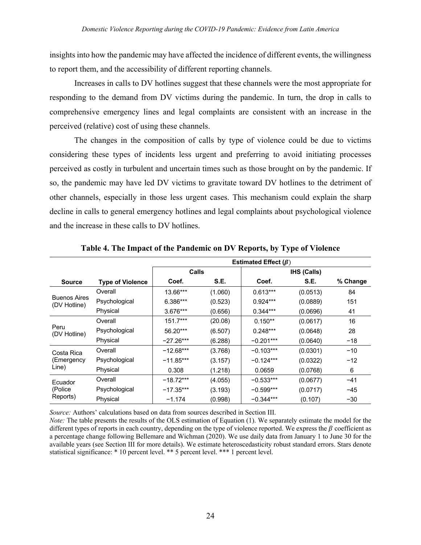insights into how the pandemic may have affected the incidence of different events, the willingness to report them, and the accessibility of different reporting channels.

Increases in calls to DV hotlines suggest that these channels were the most appropriate for responding to the demand from DV victims during the pandemic. In turn, the drop in calls to comprehensive emergency lines and legal complaints are consistent with an increase in the perceived (relative) cost of using these channels.

The changes in the composition of calls by type of violence could be due to victims considering these types of incidents less urgent and preferring to avoid initiating processes perceived as costly in turbulent and uncertain times such as those brought on by the pandemic. If so, the pandemic may have led DV victims to gravitate toward DV hotlines to the detriment of other channels, especially in those less urgent cases. This mechanism could explain the sharp decline in calls to general emergency hotlines and legal complaints about psychological violence and the increase in these calls to DV hotlines.

|                                     |                         | Estimated Effect $(\beta)$ |         |             |                    |          |
|-------------------------------------|-------------------------|----------------------------|---------|-------------|--------------------|----------|
|                                     |                         | Calls                      |         |             | <b>IHS (Calls)</b> |          |
| Source                              | <b>Type of Violence</b> | Coef.                      | S.E.    | Coef.       | S.E.               | % Change |
|                                     | Overall                 | 13.66***                   | (1.060) | $0.613***$  | (0.0513)           | 84       |
| <b>Buenos Aires</b><br>(DV Hotline) | Psychological           | 6.386***                   | (0.523) | $0.924***$  | (0.0889)           | 151      |
|                                     | Physical                | $3.676***$                 | (0.656) | $0.344***$  | (0.0696)           | 41       |
|                                     | Overall                 | $151.7***$                 | (20.08) | $0.150**$   | (0.0617)           | 16       |
| Peru<br>(DV Hotline)                | Psychological           | 56.20***                   | (6.507) | $0.248***$  | (0.0648)           | 28       |
|                                     | Physical                | $-27.26***$                | (6.288) | $-0.201***$ | (0.0640)           | $-18$    |
| Costa Rica                          | Overall                 | $-12.68***$                | (3.768) | $-0.103***$ | (0.0301)           | $-10$    |
| (Emergency                          | Psychological           | $-11.85***$                | (3.157) | $-0.124***$ | (0.0322)           | $-12$    |
| Line)                               | Physical                | 0.308                      | (1.218) | 0.0659      | (0.0768)           | 6        |
| Ecuador                             | Overall                 | $-18.72***$                | (4.055) | $-0.533***$ | (0.0677)           | $-41$    |
| (Police                             | Psychological           | $-17.35***$                | (3.193) | $-0.599***$ | (0.0717)           | $-45$    |
| Reports)                            | Physical                | $-1.174$                   | (0.998) | $-0.344***$ | (0.107)            | $-30$    |

**Table 4. The Impact of the Pandemic on DV Reports, by Type of Violence**

*Source:* Authors' calculations based on data from sources described in Section III.

*Note:* The table presents the results of the OLS estimation of Equation (1). We separately estimate the model for the different types of reports in each country, depending on the type of violence reported. We express the  $\beta$  coefficient as a percentage change following Bellemare and Wichman (2020). We use daily data from January 1 to June 30 for the available years (see Section III for more details). We estimate heteroscedasticity robust standard errors. Stars denote statistical significance: \* 10 percent level. \*\* 5 percent level. \*\*\* 1 percent level.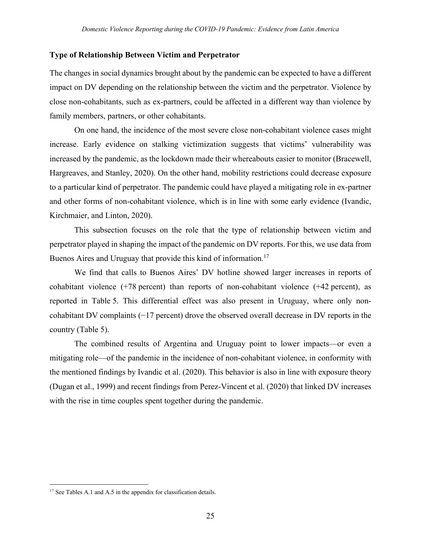#### **Type of Relationship Between Victim and Perpetrator**

The changes in social dynamics brought about by the pandemic can be expected to have a different impact on DV depending on the relationship between the victim and the perpetrator. Violence by close non-cohabitants, such as ex-partners, could be affected in a different way than violence by family members, partners, or other cohabitants.

On one hand, the incidence of the most severe close non-cohabitant violence cases might increase. Early evidence on stalking victimization suggests that victims' vulnerability was increased by the pandemic, as the lockdown made their whereabouts easier to monitor (Bracewell, Hargreaves, and Stanley, 2020). On the other hand, mobility restrictions could decrease exposure to a particular kind of perpetrator. The pandemic could have played a mitigating role in ex-partner and other forms of non-cohabitant violence, which is in line with some early evidence (Ivandic, Kirchmaier, and Linton, 2020).

This subsection focuses on the role that the type of relationship between victim and perpetrator played in shaping the impact of the pandemic on DV reports. For this, we use data from Buenos Aires and Uruguay that provide this kind of information.<sup>17</sup>

We find that calls to Buenos Aires' DV hotline showed larger increases in reports of cohabitant violence (+78 percent) than reports of non-cohabitant violence (+42 percent), as reported in Table 5. This differential effect was also present in Uruguay, where only noncohabitant DV complaints (−17 percent) drove the observed overall decrease in DV reports in the country (Table 5).

The combined results of Argentina and Uruguay point to lower impacts—or even a mitigating role—of the pandemic in the incidence of non-cohabitant violence, in conformity with the mentioned findings by Ivandic et al. (2020). This behavior is also in line with exposure theory (Dugan et al., 1999) and recent findings from Perez-Vincent et al. (2020) that linked DV increases with the rise in time couples spent together during the pandemic.

<sup>&</sup>lt;sup>17</sup> See Tables A.1 and A.5 in the appendix for classification details.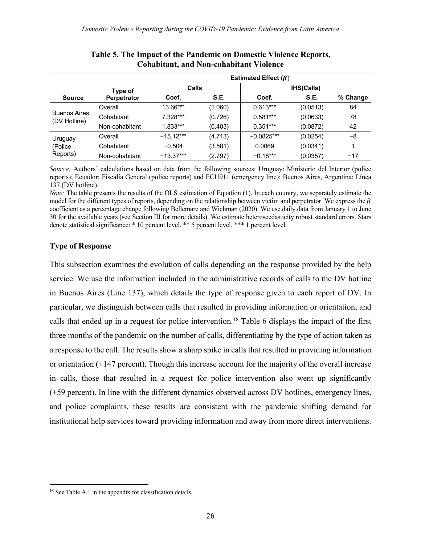|                                     |                    | Estimated Effect ( $\beta$ ) |         |              |                   |          |  |
|-------------------------------------|--------------------|------------------------------|---------|--------------|-------------------|----------|--|
|                                     | Type of            | <b>Calls</b>                 |         |              | <b>IHS(Calls)</b> |          |  |
| <b>Source</b>                       | <b>Perpetrator</b> | Coef.                        | S.E.    | Coef.        | S.E.              | % Change |  |
|                                     | Overall            | 13.66***                     | (1.060) | $0.613***$   | (0.0513)          | 84       |  |
| <b>Buenos Aires</b><br>(DV Hotline) | Cohabitant         | 7.328***                     | (0.726) | $0.581***$   | (0.0633)          | 78       |  |
|                                     | Non-cohabitant     | $1.833***$                   | (0.403) | $0.351***$   | (0.0872)          | 42       |  |
| Uruguay                             | Overall            | $-15.12***$                  | (4.713) | $-0.0825***$ | (0.0254)          | -8       |  |
| (Police                             | Cohabitant         | $-0.504$                     | (3.581) | 0.0069       | (0.0341)          |          |  |
| Reports)                            | Non-cohabitant     | $-13.37***$                  | (2.797) | $-0.18***$   | (0.0357)          | $-17$    |  |

#### **Table 5. The Impact of the Pandemic on Domestic Violence Reports, Cohabitant, and Non-cohabitant Violence**

*Source:* Authors' calculations based on data from the following sources: Uruguay: Ministerio del Interior (police reports); Ecuador: Fiscalía General (police reports) and ECU911 (emergency line); Buenos Aires, Argentina: Línea 137 (DV hotline).

*Note:* The table presents the results of the OLS estimation of Equation (1). In each country, we separately estimate the model for the different types of reports, depending on the relationship between victim and perpetrator. We express the  $\beta$ coefficient as a percentage change following Bellemare and Wichman (2020). We use daily data from January 1 to June 30 for the available years (see Section III for more details). We estimate heteroscedasticity robust standard errors. Stars denote statistical significance: \* 10 percent level. \*\* 5 percent level. \*\*\* 1 percent level.

#### **Type of Response**

This subsection examines the evolution of calls depending on the response provided by the help service. We use the information included in the administrative records of calls to the DV hotline in Buenos Aires (Line 137), which details the type of response given to each report of DV. In particular, we distinguish between calls that resulted in providing information or orientation, and calls that ended up in a request for police intervention.18 Table 6 displays the impact of the first three months of the pandemic on the number of calls, differentiating by the type of action taken as a response to the call. The results show a sharp spike in calls that resulted in providing information or orientation (+147 percent). Though this increase account for the majority of the overall increase in calls, those that resulted in a request for police intervention also went up significantly (+59 percent). In line with the different dynamics observed across DV hotlines, emergency lines, and police complaints, these results are consistent with the pandemic shifting demand for institutional help services toward providing information and away from more direct interventions.

<sup>&</sup>lt;sup>18</sup> See Table A.1 in the appendix for classification details.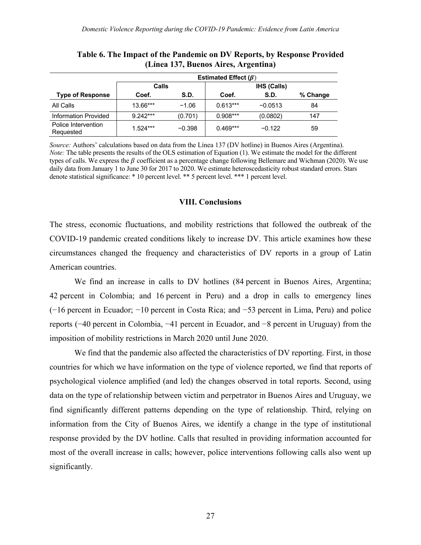|                                  | Estimated Effect $(\beta)$ |          |            |                    |          |  |
|----------------------------------|----------------------------|----------|------------|--------------------|----------|--|
|                                  |                            | Calls    |            | <b>IHS (Calls)</b> |          |  |
| <b>Type of Response</b>          | Coef.                      | S.D.     | Coef.      | S.D.               | % Change |  |
| All Calls                        | 13.66***                   | $-1.06$  | $0.613***$ | $-0.0513$          | 84       |  |
| Information Provided             | $9.242***$                 | (0.701)  | $0.908***$ | (0.0802)           | 147      |  |
| Police Intervention<br>Requested | $1.524***$                 | $-0.398$ | $0.469***$ | $-0.122$           | 59       |  |

**Table 6. The Impact of the Pandemic on DV Reports, by Response Provided (Línea 137, Buenos Aires, Argentina)**

*Source:* Authors' calculations based on data from the Línea 137 (DV hotline) in Buenos Aires (Argentina). *Note:* The table presents the results of the OLS estimation of Equation (1). We estimate the model for the different types of calls. We express the  $\beta$  coefficient as a percentage change following Bellemare and Wichman (2020). We use daily data from January 1 to June 30 for 2017 to 2020. We estimate heteroscedasticity robust standard errors. Stars denote statistical significance: \* 10 percent level. \*\* 5 percent level. \*\*\* 1 percent level.

#### **VIII. Conclusions**

The stress, economic fluctuations, and mobility restrictions that followed the outbreak of the COVID-19 pandemic created conditions likely to increase DV. This article examines how these circumstances changed the frequency and characteristics of DV reports in a group of Latin American countries.

We find an increase in calls to DV hotlines (84 percent in Buenos Aires, Argentina; 42 percent in Colombia; and 16 percent in Peru) and a drop in calls to emergency lines (−16 percent in Ecuador; −10 percent in Costa Rica; and −53 percent in Lima, Peru) and police reports (−40 percent in Colombia, −41 percent in Ecuador, and −8 percent in Uruguay) from the imposition of mobility restrictions in March 2020 until June 2020.

We find that the pandemic also affected the characteristics of DV reporting. First, in those countries for which we have information on the type of violence reported, we find that reports of psychological violence amplified (and led) the changes observed in total reports. Second, using data on the type of relationship between victim and perpetrator in Buenos Aires and Uruguay, we find significantly different patterns depending on the type of relationship. Third, relying on information from the City of Buenos Aires, we identify a change in the type of institutional response provided by the DV hotline. Calls that resulted in providing information accounted for most of the overall increase in calls; however, police interventions following calls also went up significantly.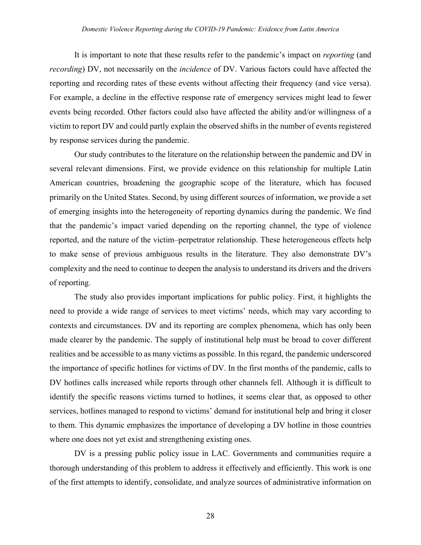It is important to note that these results refer to the pandemic's impact on *reporting* (and *recording*) DV, not necessarily on the *incidence* of DV. Various factors could have affected the reporting and recording rates of these events without affecting their frequency (and vice versa). For example, a decline in the effective response rate of emergency services might lead to fewer events being recorded. Other factors could also have affected the ability and/or willingness of a victim to report DV and could partly explain the observed shifts in the number of events registered by response services during the pandemic.

Our study contributes to the literature on the relationship between the pandemic and DV in several relevant dimensions. First, we provide evidence on this relationship for multiple Latin American countries, broadening the geographic scope of the literature, which has focused primarily on the United States. Second, by using different sources of information, we provide a set of emerging insights into the heterogeneity of reporting dynamics during the pandemic. We find that the pandemic's impact varied depending on the reporting channel, the type of violence reported, and the nature of the victim–perpetrator relationship. These heterogeneous effects help to make sense of previous ambiguous results in the literature. They also demonstrate DV's complexity and the need to continue to deepen the analysis to understand its drivers and the drivers of reporting.

The study also provides important implications for public policy. First, it highlights the need to provide a wide range of services to meet victims' needs, which may vary according to contexts and circumstances. DV and its reporting are complex phenomena, which has only been made clearer by the pandemic. The supply of institutional help must be broad to cover different realities and be accessible to as many victims as possible. In this regard, the pandemic underscored the importance of specific hotlines for victims of DV. In the first months of the pandemic, calls to DV hotlines calls increased while reports through other channels fell. Although it is difficult to identify the specific reasons victims turned to hotlines, it seems clear that, as opposed to other services, hotlines managed to respond to victims' demand for institutional help and bring it closer to them. This dynamic emphasizes the importance of developing a DV hotline in those countries where one does not yet exist and strengthening existing ones.

DV is a pressing public policy issue in LAC. Governments and communities require a thorough understanding of this problem to address it effectively and efficiently. This work is one of the first attempts to identify, consolidate, and analyze sources of administrative information on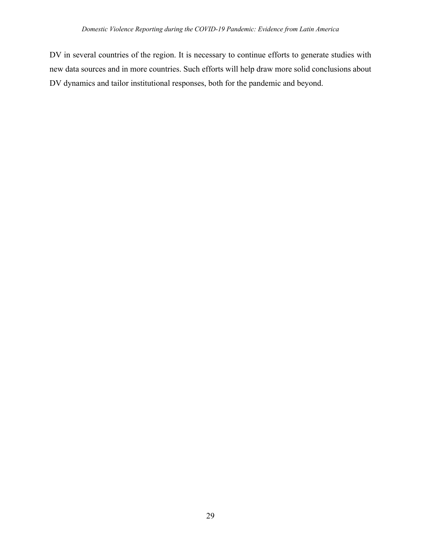DV in several countries of the region. It is necessary to continue efforts to generate studies with new data sources and in more countries. Such efforts will help draw more solid conclusions about DV dynamics and tailor institutional responses, both for the pandemic and beyond.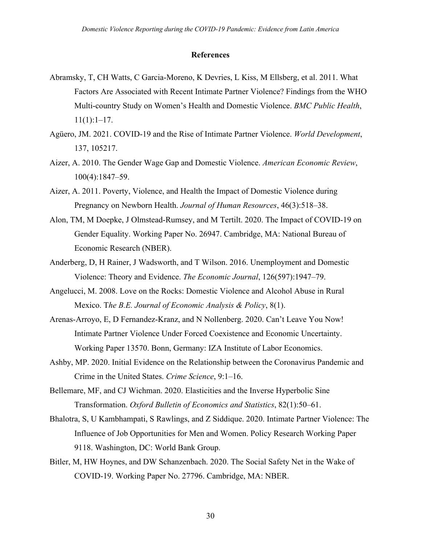#### **References**

- Abramsky, T, CH Watts, C Garcia-Moreno, K Devries, L Kiss, M Ellsberg, et al. 2011. What Factors Are Associated with Recent Intimate Partner Violence? Findings from the WHO Multi-country Study on Women's Health and Domestic Violence. *BMC Public Health*,  $11(1):1-17.$
- Agüero, JM. 2021. COVID-19 and the Rise of Intimate Partner Violence. *World Development*, 137, 105217.
- Aizer, A. 2010. The Gender Wage Gap and Domestic Violence. *American Economic Review*, 100(4):1847–59.
- Aizer, A. 2011. Poverty, Violence, and Health the Impact of Domestic Violence during Pregnancy on Newborn Health. *Journal of Human Resources*, 46(3):518–38.
- Alon, TM, M Doepke, J Olmstead-Rumsey, and M Tertilt. 2020. The Impact of COVID-19 on Gender Equality. Working Paper No. 26947. Cambridge, MA: National Bureau of Economic Research (NBER).
- Anderberg, D, H Rainer, J Wadsworth, and T Wilson. 2016. Unemployment and Domestic Violence: Theory and Evidence. *The Economic Journal*, 126(597):1947–79.
- Angelucci, M. 2008. Love on the Rocks: Domestic Violence and Alcohol Abuse in Rural Mexico. T*he B.E. Journal of Economic Analysis & Policy*, 8(1).
- Arenas-Arroyo, E, D Fernandez-Kranz, and N Nollenberg. 2020. Can't Leave You Now! Intimate Partner Violence Under Forced Coexistence and Economic Uncertainty. Working Paper 13570. Bonn, Germany: IZA Institute of Labor Economics.
- Ashby, MP. 2020. Initial Evidence on the Relationship between the Coronavirus Pandemic and Crime in the United States. *Crime Science*, 9:1–16.
- Bellemare, MF, and CJ Wichman. 2020. Elasticities and the Inverse Hyperbolic Sine Transformation. *Oxford Bulletin of Economics and Statistics*, 82(1):50–61.
- Bhalotra, S, U Kambhampati, S Rawlings, and Z Siddique. 2020. Intimate Partner Violence: The Influence of Job Opportunities for Men and Women. Policy Research Working Paper 9118. Washington, DC: World Bank Group.
- Bitler, M, HW Hoynes, and DW Schanzenbach. 2020. The Social Safety Net in the Wake of COVID-19. Working Paper No. 27796. Cambridge, MA: NBER.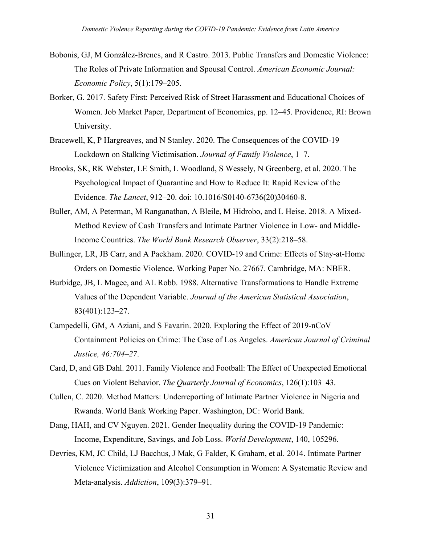- Bobonis, GJ, M González-Brenes, and R Castro. 2013. Public Transfers and Domestic Violence: The Roles of Private Information and Spousal Control. *American Economic Journal: Economic Policy*, 5(1):179–205.
- Borker, G. 2017. Safety First: Perceived Risk of Street Harassment and Educational Choices of Women. Job Market Paper, Department of Economics, pp. 12–45. Providence, RI: Brown University.
- Bracewell, K, P Hargreaves, and N Stanley. 2020. The Consequences of the COVID-19 Lockdown on Stalking Victimisation. *Journal of Family Violence*, 1–7.
- Brooks, SK, RK Webster, LE Smith, L Woodland, S Wessely, N Greenberg, et al. 2020. The Psychological Impact of Quarantine and How to Reduce It: Rapid Review of the Evidence. *The Lancet*, 912–20. doi: 10.1016/S0140-6736(20)30460-8.
- Buller, AM, A Peterman, M Ranganathan, A Bleile, M Hidrobo, and L Heise. 2018. A Mixed-Method Review of Cash Transfers and Intimate Partner Violence in Low- and Middle-Income Countries. *The World Bank Research Observer*, 33(2):218–58.
- Bullinger, LR, JB Carr, and A Packham. 2020. COVID-19 and Crime: Effects of Stay-at-Home Orders on Domestic Violence. Working Paper No. 27667. Cambridge, MA: NBER.
- Burbidge, JB, L Magee, and AL Robb. 1988. Alternative Transformations to Handle Extreme Values of the Dependent Variable. *Journal of the American Statistical Association*, 83(401):123–27.
- Campedelli, GM, A Aziani, and S Favarin. 2020. Exploring the Effect of 2019-nCoV Containment Policies on Crime: The Case of Los Angeles. *American Journal of Criminal Justice, 46:704–27*.
- Card, D, and GB Dahl. 2011. Family Violence and Football: The Effect of Unexpected Emotional Cues on Violent Behavior. *The Quarterly Journal of Economics*, 126(1):103–43.
- Cullen, C. 2020. Method Matters: Underreporting of Intimate Partner Violence in Nigeria and Rwanda. World Bank Working Paper. Washington, DC: World Bank.
- Dang, HAH, and CV Nguyen. 2021. Gender Inequality during the COVID-19 Pandemic: Income, Expenditure, Savings, and Job Loss. *World Development*, 140, 105296.
- Devries, KM, JC Child, LJ Bacchus, J Mak, G Falder, K Graham, et al. 2014. Intimate Partner Violence Victimization and Alcohol Consumption in Women: A Systematic Review and Meta-analysis. *Addiction*, 109(3):379–91.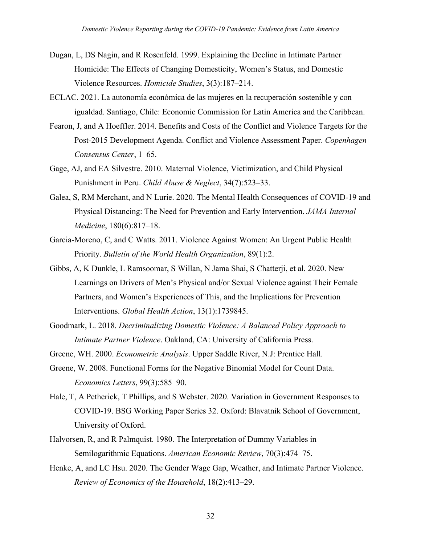- Dugan, L, DS Nagin, and R Rosenfeld. 1999. Explaining the Decline in Intimate Partner Homicide: The Effects of Changing Domesticity, Women's Status, and Domestic Violence Resources. *Homicide Studies*, 3(3):187–214.
- ECLAC. 2021. La autonomía económica de las mujeres en la recuperación sostenible y con igualdad. Santiago, Chile: Economic Commission for Latin America and the Caribbean.
- Fearon, J, and A Hoeffler. 2014. Benefits and Costs of the Conflict and Violence Targets for the Post-2015 Development Agenda. Conflict and Violence Assessment Paper. *Copenhagen Consensus Center*, 1–65.
- Gage, AJ, and EA Silvestre. 2010. Maternal Violence, Victimization, and Child Physical Punishment in Peru. *Child Abuse & Neglect*, 34(7):523–33.
- Galea, S, RM Merchant, and N Lurie. 2020. The Mental Health Consequences of COVID-19 and Physical Distancing: The Need for Prevention and Early Intervention. *JAMA Internal Medicine*, 180(6):817–18.
- Garcia-Moreno, C, and C Watts. 2011. Violence Against Women: An Urgent Public Health Priority. *Bulletin of the World Health Organization*, 89(1):2.
- Gibbs, A, K Dunkle, L Ramsoomar, S Willan, N Jama Shai, S Chatterji, et al. 2020. New Learnings on Drivers of Men's Physical and/or Sexual Violence against Their Female Partners, and Women's Experiences of This, and the Implications for Prevention Interventions. *Global Health Action*, 13(1):1739845.
- Goodmark, L. 2018. *Decriminalizing Domestic Violence: A Balanced Policy Approach to Intimate Partner Violence*. Oakland, CA: University of California Press.
- Greene, WH. 2000. *Econometric Analysis*. Upper Saddle River, N.J: Prentice Hall.
- Greene, W. 2008. Functional Forms for the Negative Binomial Model for Count Data. *Economics Letters*, 99(3):585–90.
- Hale, T, A Petherick, T Phillips, and S Webster. 2020. Variation in Government Responses to COVID-19. BSG Working Paper Series 32. Oxford: Blavatnik School of Government, University of Oxford.
- Halvorsen, R, and R Palmquist. 1980. The Interpretation of Dummy Variables in Semilogarithmic Equations. *American Economic Review*, 70(3):474–75.
- Henke, A, and LC Hsu. 2020. The Gender Wage Gap, Weather, and Intimate Partner Violence. *Review of Economics of the Household*, 18(2):413–29.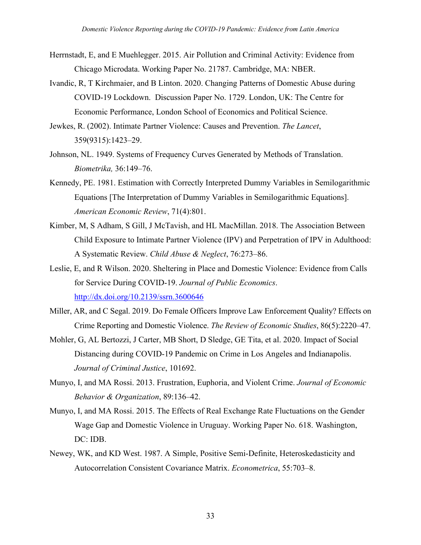- Herrnstadt, E, and E Muehlegger. 2015. Air Pollution and Criminal Activity: Evidence from Chicago Microdata. Working Paper No. 21787. Cambridge, MA: NBER.
- Ivandic, R, T Kirchmaier, and B Linton. 2020. Changing Patterns of Domestic Abuse during COVID-19 Lockdown. Discussion Paper No. 1729. London, UK: The Centre for Economic Performance, London School of Economics and Political Science.
- Jewkes, R. (2002). Intimate Partner Violence: Causes and Prevention. *The Lancet*, 359(9315):1423–29.
- Johnson, NL. 1949. Systems of Frequency Curves Generated by Methods of Translation. *Biometrika,* 36:149–76.
- Kennedy, PE. 1981. Estimation with Correctly Interpreted Dummy Variables in Semilogarithmic Equations [The Interpretation of Dummy Variables in Semilogarithmic Equations]. *American Economic Review*, 71(4):801.
- Kimber, M, S Adham, S Gill, J McTavish, and HL MacMillan. 2018. The Association Between Child Exposure to Intimate Partner Violence (IPV) and Perpetration of IPV in Adulthood: A Systematic Review. *Child Abuse & Neglect*, 76:273–86.
- Leslie, E, and R Wilson. 2020. Sheltering in Place and Domestic Violence: Evidence from Calls for Service During COVID-19. *Journal of Public Economics*. http://dx.doi.org/10.2139/ssrn.3600646
- Miller, AR, and C Segal. 2019. Do Female Officers Improve Law Enforcement Quality? Effects on Crime Reporting and Domestic Violence. *The Review of Economic Studies*, 86(5):2220–47.
- Mohler, G, AL Bertozzi, J Carter, MB Short, D Sledge, GE Tita, et al. 2020. Impact of Social Distancing during COVID-19 Pandemic on Crime in Los Angeles and Indianapolis. *Journal of Criminal Justice*, 101692.
- Munyo, I, and MA Rossi. 2013. Frustration, Euphoria, and Violent Crime. *Journal of Economic Behavior & Organization*, 89:136–42.
- Munyo, I, and MA Rossi. 2015. The Effects of Real Exchange Rate Fluctuations on the Gender Wage Gap and Domestic Violence in Uruguay. Working Paper No. 618. Washington, DC: IDB.
- Newey, WK, and KD West. 1987. A Simple, Positive Semi-Definite, Heteroskedasticity and Autocorrelation Consistent Covariance Matrix. *Econometrica*, 55:703–8.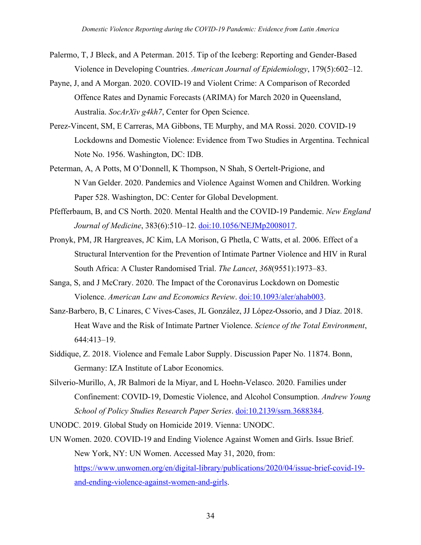- Palermo, T, J Bleck, and A Peterman. 2015. Tip of the Iceberg: Reporting and Gender-Based Violence in Developing Countries. *American Journal of Epidemiology*, 179(5):602–12.
- Payne, J, and A Morgan. 2020. COVID-19 and Violent Crime: A Comparison of Recorded Offence Rates and Dynamic Forecasts (ARIMA) for March 2020 in Queensland, Australia. *SocArXiv g4kh7*, Center for Open Science.
- Perez-Vincent, SM, E Carreras, MA Gibbons, TE Murphy, and MA Rossi. 2020. COVID-19 Lockdowns and Domestic Violence: Evidence from Two Studies in Argentina. Technical Note No. 1956. Washington, DC: IDB.
- Peterman, A, A Potts, M O'Donnell, K Thompson, N Shah, S Oertelt-Prigione, and N Van Gelder. 2020. Pandemics and Violence Against Women and Children. Working Paper 528. Washington, DC: Center for Global Development.
- Pfefferbaum, B, and CS North. 2020. Mental Health and the COVID-19 Pandemic. *New England Journal of Medicine*, 383(6):510–12. doi:10.1056/NEJMp2008017.
- Pronyk, PM, JR Hargreaves, JC Kim, LA Morison, G Phetla, C Watts, et al. 2006. Effect of a Structural Intervention for the Prevention of Intimate Partner Violence and HIV in Rural South Africa: A Cluster Randomised Trial. *The Lancet*, *368*(9551):1973–83.
- Sanga, S, and J McCrary. 2020. The Impact of the Coronavirus Lockdown on Domestic Violence. *American Law and Economics Review*. doi:10.1093/aler/ahab003.
- Sanz-Barbero, B, C Linares, C Vives-Cases, JL González, JJ López-Ossorio, and J Díaz. 2018. Heat Wave and the Risk of Intimate Partner Violence. *Science of the Total Environment*, 644:413–19.
- Siddique, Z. 2018. Violence and Female Labor Supply. Discussion Paper No. 11874. Bonn, Germany: IZA Institute of Labor Economics.
- Silverio-Murillo, A, JR Balmori de la Miyar, and L Hoehn-Velasco. 2020. Families under Confinement: COVID-19, Domestic Violence, and Alcohol Consumption. *Andrew Young School of Policy Studies Research Paper Series*. doi:10.2139/ssrn.3688384.
- UNODC. 2019. Global Study on Homicide 2019. Vienna: UNODC.
- UN Women. 2020. COVID-19 and Ending Violence Against Women and Girls. Issue Brief. New York, NY: UN Women. Accessed May 31, 2020, from: https://www.unwomen.org/en/digital-library/publications/2020/04/issue-brief-covid-19 and-ending-violence-against-women-and-girls.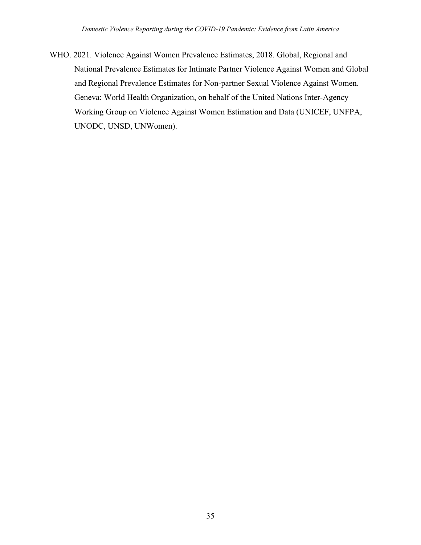WHO. 2021. Violence Against Women Prevalence Estimates, 2018. Global, Regional and National Prevalence Estimates for Intimate Partner Violence Against Women and Global and Regional Prevalence Estimates for Non-partner Sexual Violence Against Women. Geneva: World Health Organization, on behalf of the United Nations Inter-Agency Working Group on Violence Against Women Estimation and Data (UNICEF, UNFPA, UNODC, UNSD, UNWomen).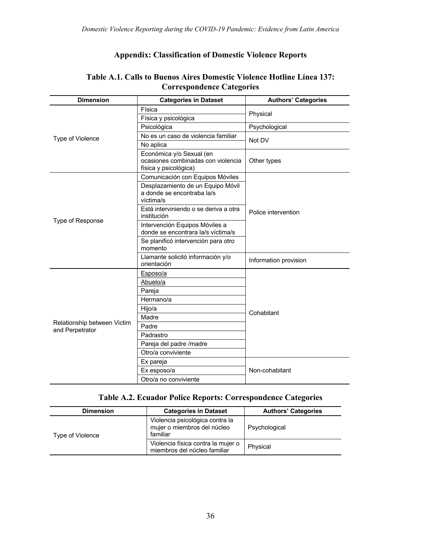## **Appendix: Classification of Domestic Violence Reports**

| <b>Dimension</b>                               | <b>Categories in Dataset</b>                                                            | <b>Authors' Categories</b> |
|------------------------------------------------|-----------------------------------------------------------------------------------------|----------------------------|
|                                                | Física                                                                                  |                            |
|                                                | Física y psicológica                                                                    | Physical                   |
|                                                | Psicológica                                                                             | Psychological              |
| Type of Violence                               | No es un caso de violencia familiar                                                     | Not DV                     |
|                                                | No aplica                                                                               |                            |
|                                                | Económica y/o Sexual (en<br>ocasiones combinadas con violencia<br>física y psicológica) | Other types                |
|                                                | Comunicación con Equipos Móviles                                                        |                            |
|                                                | Desplazamiento de un Equipo Móvil<br>a donde se encontraba la/s<br>víctima/s            |                            |
| Type of Response                               | Está interviniendo o se deriva a otra<br>institución                                    | Police intervention        |
|                                                | Intervención Equipos Móviles a<br>donde se encontrara la/s víctima/s                    |                            |
|                                                | Se planificó intervención para otro<br>momento                                          |                            |
|                                                | Llamante solicitó información y/o<br>orientación                                        | Information provision      |
|                                                | Esposo/a                                                                                |                            |
|                                                | Abuelo/a                                                                                |                            |
|                                                | Pareja                                                                                  |                            |
|                                                | Hermano/a                                                                               |                            |
|                                                | Hijo/a                                                                                  | Cohabitant                 |
| Relationship between Victim<br>and Perpetrator | Madre                                                                                   |                            |
|                                                | Padre                                                                                   |                            |
|                                                | Padrastro                                                                               |                            |
|                                                | Pareja del padre /madre                                                                 |                            |
|                                                | Otro/a conviviente                                                                      |                            |
|                                                | Ex pareja                                                                               |                            |
|                                                | Ex esposo/a                                                                             | Non-cohabitant             |
|                                                | Otro/a no conviviente                                                                   |                            |

### **Table A.1. Calls to Buenos Aires Domestic Violence Hotline Línea 137: Correspondence Categories**

### **Table A.2. Ecuador Police Reports: Correspondence Categories**

| <b>Dimension</b> | <b>Categories in Dataset</b>                                               | <b>Authors' Categories</b> |  |
|------------------|----------------------------------------------------------------------------|----------------------------|--|
| Type of Violence | Violencia psicológica contra la<br>mujer o miembros del núcleo<br>familiar | Psychological              |  |
|                  | Violencia física contra la mujer o<br>miembros del núcleo familiar         | Physical                   |  |